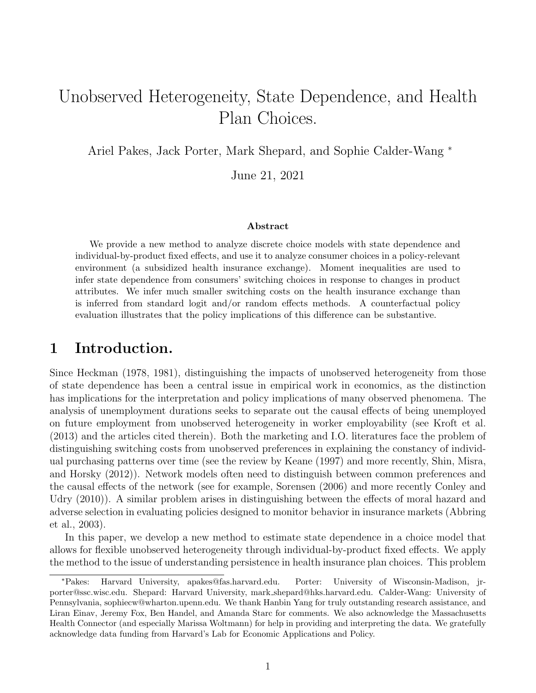# Unobserved Heterogeneity, State Dependence, and Health Plan Choices.

Ariel Pakes, Jack Porter, Mark Shepard, and Sophie Calder-Wang <sup>∗</sup>

June 21, 2021

#### Abstract

We provide a new method to analyze discrete choice models with state dependence and individual-by-product fixed effects, and use it to analyze consumer choices in a policy-relevant environment (a subsidized health insurance exchange). Moment inequalities are used to infer state dependence from consumers' switching choices in response to changes in product attributes. We infer much smaller switching costs on the health insurance exchange than is inferred from standard logit and/or random effects methods. A counterfactual policy evaluation illustrates that the policy implications of this difference can be substantive.

## 1 Introduction.

Since Heckman (1978, 1981), distinguishing the impacts of unobserved heterogeneity from those of state dependence has been a central issue in empirical work in economics, as the distinction has implications for the interpretation and policy implications of many observed phenomena. The analysis of unemployment durations seeks to separate out the causal effects of being unemployed on future employment from unobserved heterogeneity in worker employability (see Kroft et al. (2013) and the articles cited therein). Both the marketing and I.O. literatures face the problem of distinguishing switching costs from unobserved preferences in explaining the constancy of individual purchasing patterns over time (see the review by Keane (1997) and more recently, Shin, Misra, and Horsky (2012)). Network models often need to distinguish between common preferences and the causal effects of the network (see for example, Sorensen (2006) and more recently Conley and Udry (2010)). A similar problem arises in distinguishing between the effects of moral hazard and adverse selection in evaluating policies designed to monitor behavior in insurance markets (Abbring et al., 2003).

In this paper, we develop a new method to estimate state dependence in a choice model that allows for flexible unobserved heterogeneity through individual-by-product fixed effects. We apply the method to the issue of understanding persistence in health insurance plan choices. This problem

<sup>∗</sup>Pakes: Harvard University, apakes@fas.harvard.edu. Porter: University of Wisconsin-Madison, jrporter@ssc.wisc.edu. Shepard: Harvard University, mark shepard@hks.harvard.edu. Calder-Wang: University of Pennsylvania, sophiecw@wharton.upenn.edu. We thank Hanbin Yang for truly outstanding research assistance, and Liran Einav, Jeremy Fox, Ben Handel, and Amanda Starc for comments. We also acknowledge the Massachusetts Health Connector (and especially Marissa Woltmann) for help in providing and interpreting the data. We gratefully acknowledge data funding from Harvard's Lab for Economic Applications and Policy.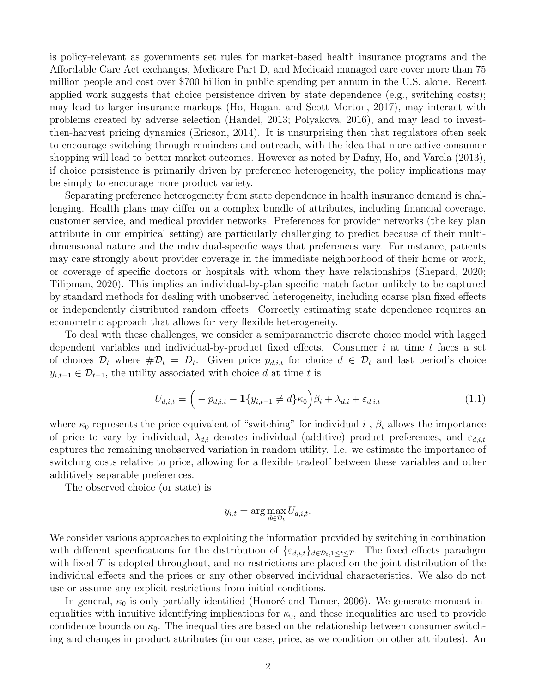is policy-relevant as governments set rules for market-based health insurance programs and the Affordable Care Act exchanges, Medicare Part D, and Medicaid managed care cover more than 75 million people and cost over \$700 billion in public spending per annum in the U.S. alone. Recent applied work suggests that choice persistence driven by state dependence (e.g., switching costs); may lead to larger insurance markups (Ho, Hogan, and Scott Morton, 2017), may interact with problems created by adverse selection (Handel, 2013; Polyakova, 2016), and may lead to investthen-harvest pricing dynamics (Ericson, 2014). It is unsurprising then that regulators often seek to encourage switching through reminders and outreach, with the idea that more active consumer shopping will lead to better market outcomes. However as noted by Dafny, Ho, and Varela (2013), if choice persistence is primarily driven by preference heterogeneity, the policy implications may be simply to encourage more product variety.

Separating preference heterogeneity from state dependence in health insurance demand is challenging. Health plans may differ on a complex bundle of attributes, including financial coverage, customer service, and medical provider networks. Preferences for provider networks (the key plan attribute in our empirical setting) are particularly challenging to predict because of their multidimensional nature and the individual-specific ways that preferences vary. For instance, patients may care strongly about provider coverage in the immediate neighborhood of their home or work, or coverage of specific doctors or hospitals with whom they have relationships (Shepard, 2020; Tilipman, 2020). This implies an individual-by-plan specific match factor unlikely to be captured by standard methods for dealing with unobserved heterogeneity, including coarse plan fixed effects or independently distributed random effects. Correctly estimating state dependence requires an econometric approach that allows for very flexible heterogeneity.

To deal with these challenges, we consider a semiparametric discrete choice model with lagged dependent variables and individual-by-product fixed effects. Consumer  $i$  at time  $t$  faces a set of choices  $\mathcal{D}_t$  where  $\#\mathcal{D}_t = D_t$ . Given price  $p_{d,i,t}$  for choice  $d \in \mathcal{D}_t$  and last period's choice  $y_{i,t-1} \in \mathcal{D}_{t-1}$ , the utility associated with choice d at time t is

$$
U_{d,i,t} = \left( -p_{d,i,t} - \mathbf{1}\{y_{i,t-1} \neq d\} \kappa_0 \right) \beta_i + \lambda_{d,i} + \varepsilon_{d,i,t} \tag{1.1}
$$

where  $\kappa_0$  represents the price equivalent of "switching" for individual i,  $\beta_i$  allows the importance of price to vary by individual,  $\lambda_{d,i}$  denotes individual (additive) product preferences, and  $\varepsilon_{d,i,t}$ captures the remaining unobserved variation in random utility. I.e. we estimate the importance of switching costs relative to price, allowing for a flexible tradeoff between these variables and other additively separable preferences.

The observed choice (or state) is

$$
y_{i,t} = \arg\max_{d \in \mathcal{D}_t} U_{d,i,t}.
$$

We consider various approaches to exploiting the information provided by switching in combination with different specifications for the distribution of  $\{\varepsilon_{d,i,t}\}_{d\in\mathcal{D}_t,1\leq t\leq T}$ . The fixed effects paradigm with fixed  $T$  is adopted throughout, and no restrictions are placed on the joint distribution of the individual effects and the prices or any other observed individual characteristics. We also do not use or assume any explicit restrictions from initial conditions.

In general,  $\kappa_0$  is only partially identified (Honoré and Tamer, 2006). We generate moment inequalities with intuitive identifying implications for  $\kappa_0$ , and these inequalities are used to provide confidence bounds on  $\kappa_0$ . The inequalities are based on the relationship between consumer switching and changes in product attributes (in our case, price, as we condition on other attributes). An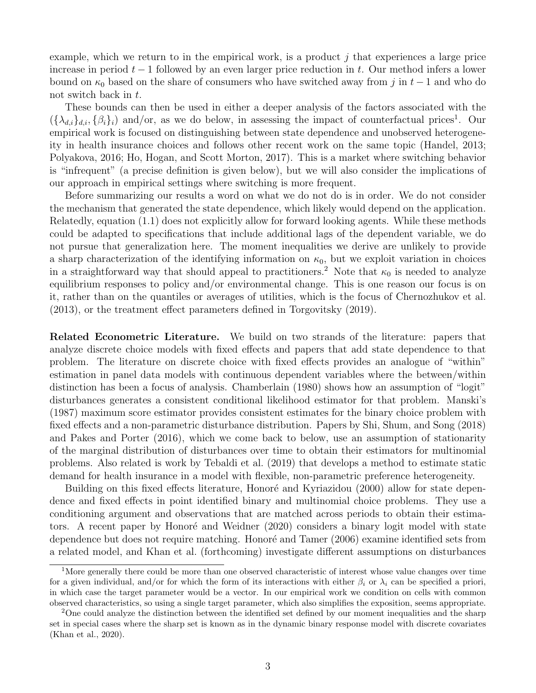example, which we return to in the empirical work, is a product  $j$  that experiences a large price increase in period  $t-1$  followed by an even larger price reduction in t. Our method infers a lower bound on  $\kappa_0$  based on the share of consumers who have switched away from j in  $t-1$  and who do not switch back in t.

These bounds can then be used in either a deeper analysis of the factors associated with the  $({\lambda_{d,i}}_{d,i}, {\beta_i}_i)$  and/or, as we do below, in assessing the impact of counterfactual prices<sup>1</sup>. Our empirical work is focused on distinguishing between state dependence and unobserved heterogeneity in health insurance choices and follows other recent work on the same topic (Handel, 2013; Polyakova, 2016; Ho, Hogan, and Scott Morton, 2017). This is a market where switching behavior is "infrequent" (a precise definition is given below), but we will also consider the implications of our approach in empirical settings where switching is more frequent.

Before summarizing our results a word on what we do not do is in order. We do not consider the mechanism that generated the state dependence, which likely would depend on the application. Relatedly, equation (1.1) does not explicitly allow for forward looking agents. While these methods could be adapted to specifications that include additional lags of the dependent variable, we do not pursue that generalization here. The moment inequalities we derive are unlikely to provide a sharp characterization of the identifying information on  $\kappa_0$ , but we exploit variation in choices in a straightforward way that should appeal to practitioners.<sup>2</sup> Note that  $\kappa_0$  is needed to analyze equilibrium responses to policy and/or environmental change. This is one reason our focus is on it, rather than on the quantiles or averages of utilities, which is the focus of Chernozhukov et al. (2013), or the treatment effect parameters defined in Torgovitsky (2019).

Related Econometric Literature. We build on two strands of the literature: papers that analyze discrete choice models with fixed effects and papers that add state dependence to that problem. The literature on discrete choice with fixed effects provides an analogue of "within" estimation in panel data models with continuous dependent variables where the between/within distinction has been a focus of analysis. Chamberlain (1980) shows how an assumption of "logit" disturbances generates a consistent conditional likelihood estimator for that problem. Manski's (1987) maximum score estimator provides consistent estimates for the binary choice problem with fixed effects and a non-parametric disturbance distribution. Papers by Shi, Shum, and Song (2018) and Pakes and Porter (2016), which we come back to below, use an assumption of stationarity of the marginal distribution of disturbances over time to obtain their estimators for multinomial problems. Also related is work by Tebaldi et al. (2019) that develops a method to estimate static demand for health insurance in a model with flexible, non-parametric preference heterogeneity.

Building on this fixed effects literature, Honoré and Kyriazidou (2000) allow for state dependence and fixed effects in point identified binary and multinomial choice problems. They use a conditioning argument and observations that are matched across periods to obtain their estimators. A recent paper by Honoré and Weidner (2020) considers a binary logit model with state dependence but does not require matching. Honoré and Tamer (2006) examine identified sets from a related model, and Khan et al. (forthcoming) investigate different assumptions on disturbances

<sup>&</sup>lt;sup>1</sup>More generally there could be more than one observed characteristic of interest whose value changes over time for a given individual, and/or for which the form of its interactions with either  $\beta_i$  or  $\lambda_i$  can be specified a priori, in which case the target parameter would be a vector. In our empirical work we condition on cells with common observed characteristics, so using a single target parameter, which also simplifies the exposition, seems appropriate.

<sup>&</sup>lt;sup>2</sup>One could analyze the distinction between the identified set defined by our moment inequalities and the sharp set in special cases where the sharp set is known as in the dynamic binary response model with discrete covariates (Khan et al., 2020).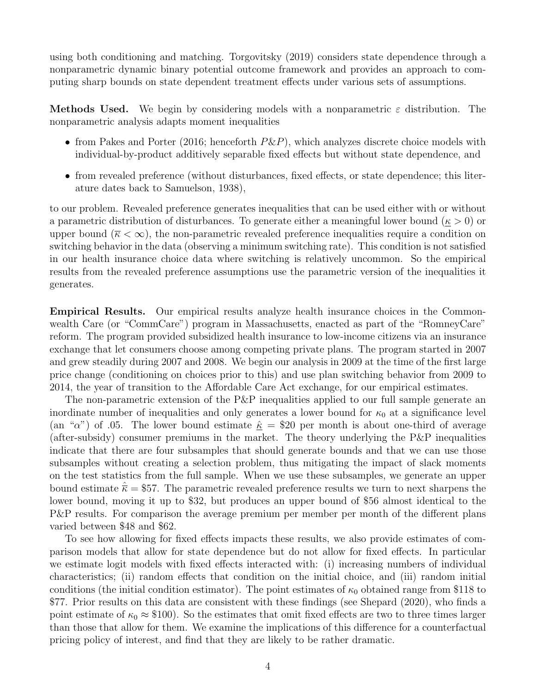using both conditioning and matching. Torgovitsky (2019) considers state dependence through a nonparametric dynamic binary potential outcome framework and provides an approach to computing sharp bounds on state dependent treatment effects under various sets of assumptions.

**Methods Used.** We begin by considering models with a nonparametric  $\varepsilon$  distribution. The nonparametric analysis adapts moment inequalities

- from Pakes and Porter (2016; henceforth  $P\&P$ ), which analyzes discrete choice models with individual-by-product additively separable fixed effects but without state dependence, and
- from revealed preference (without disturbances, fixed effects, or state dependence; this literature dates back to Samuelson, 1938),

to our problem. Revealed preference generates inequalities that can be used either with or without a parametric distribution of disturbances. To generate either a meaningful lower bound ( $\kappa > 0$ ) or upper bound  $(\bar{\kappa} < \infty)$ , the non-parametric revealed preference inequalities require a condition on switching behavior in the data (observing a minimum switching rate). This condition is not satisfied in our health insurance choice data where switching is relatively uncommon. So the empirical results from the revealed preference assumptions use the parametric version of the inequalities it generates.

Empirical Results. Our empirical results analyze health insurance choices in the Commonwealth Care (or "CommCare") program in Massachusetts, enacted as part of the "RomneyCare" reform. The program provided subsidized health insurance to low-income citizens via an insurance exchange that let consumers choose among competing private plans. The program started in 2007 and grew steadily during 2007 and 2008. We begin our analysis in 2009 at the time of the first large price change (conditioning on choices prior to this) and use plan switching behavior from 2009 to 2014, the year of transition to the Affordable Care Act exchange, for our empirical estimates.

The non-parametric extension of the P&P inequalities applied to our full sample generate an inordinate number of inequalities and only generates a lower bound for  $\kappa_0$  at a significance level (an " $\alpha$ ") of .05. The lower bound estimate  $\hat{\kappa} = \$20$  per month is about one-third of average (after-subsidy) consumer premiums in the market. The theory underlying the P&P inequalities indicate that there are four subsamples that should generate bounds and that we can use those subsamples without creating a selection problem, thus mitigating the impact of slack moments on the test statistics from the full sample. When we use these subsamples, we generate an upper bound estimate  $\bar{\kappa} = $57$ . The parametric revealed preference results we turn to next sharpens the lower bound, moving it up to \$32, but produces an upper bound of \$56 almost identical to the P&P results. For comparison the average premium per member per month of the different plans varied between \$48 and \$62.

To see how allowing for fixed effects impacts these results, we also provide estimates of comparison models that allow for state dependence but do not allow for fixed effects. In particular we estimate logit models with fixed effects interacted with: (i) increasing numbers of individual characteristics; (ii) random effects that condition on the initial choice, and (iii) random initial conditions (the initial condition estimator). The point estimates of  $\kappa_0$  obtained range from \$118 to \$77. Prior results on this data are consistent with these findings (see Shepard (2020), who finds a point estimate of  $\kappa_0 \approx \$100$ ). So the estimates that omit fixed effects are two to three times larger than those that allow for them. We examine the implications of this difference for a counterfactual pricing policy of interest, and find that they are likely to be rather dramatic.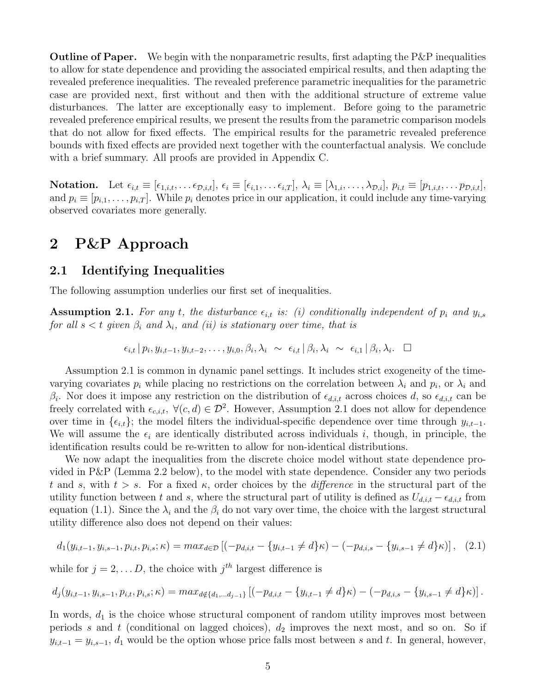Outline of Paper. We begin with the nonparametric results, first adapting the P&P inequalities to allow for state dependence and providing the associated empirical results, and then adapting the revealed preference inequalities. The revealed preference parametric inequalities for the parametric case are provided next, first without and then with the additional structure of extreme value disturbances. The latter are exceptionally easy to implement. Before going to the parametric revealed preference empirical results, we present the results from the parametric comparison models that do not allow for fixed effects. The empirical results for the parametric revealed preference bounds with fixed effects are provided next together with the counterfactual analysis. We conclude with a brief summary. All proofs are provided in Appendix C.

**Notation.** Let  $\epsilon_{i,t} \equiv [\epsilon_{1,i,t}, \ldots \epsilon_{\mathcal{D},i,t}], \epsilon_i \equiv [\epsilon_{i,1}, \ldots \epsilon_{i,T}], \lambda_i \equiv [\lambda_{1,i}, \ldots, \lambda_{\mathcal{D},i}], p_{i,t} \equiv [p_{1,i,t}, \ldots p_{\mathcal{D},i,t}],$ and  $p_i \equiv [p_{i,1}, \ldots, p_{i,T}]$ . While  $p_i$  denotes price in our application, it could include any time-varying observed covariates more generally.

## 2 P&P Approach

### 2.1 Identifying Inequalities

The following assumption underlies our first set of inequalities.

**Assumption 2.1.** For any t, the disturbance  $\epsilon_{i,t}$  is: (i) conditionally independent of  $p_i$  and  $y_{i,s}$ for all  $s < t$  given  $\beta_i$  and  $\lambda_i$ , and (ii) is stationary over time, that is

$$
\epsilon_{i,t} | p_i, y_{i,t-1}, y_{i,t-2}, \dots, y_{i,0}, \beta_i, \lambda_i \sim \epsilon_{i,t} | \beta_i, \lambda_i \sim \epsilon_{i,1} | \beta_i, \lambda_i. \square
$$

Assumption 2.1 is common in dynamic panel settings. It includes strict exogeneity of the timevarying covariates  $p_i$  while placing no restrictions on the correlation between  $\lambda_i$  and  $p_i$ , or  $\lambda_i$  and  $\beta_i$ . Nor does it impose any restriction on the distribution of  $\epsilon_{d,i,t}$  across choices d, so  $\epsilon_{d,i,t}$  can be freely correlated with  $\epsilon_{c,i,t}$ ,  $\forall (c,d) \in \mathcal{D}^2$ . However, Assumption 2.1 does not allow for dependence over time in  $\{\epsilon_{i,t}\}$ ; the model filters the individual-specific dependence over time through  $y_{i,t-1}$ . We will assume the  $\epsilon_i$  are identically distributed across individuals i, though, in principle, the identification results could be re-written to allow for non-identical distributions.

We now adapt the inequalities from the discrete choice model without state dependence provided in P&P (Lemma 2.2 below), to the model with state dependence. Consider any two periods t and s, with  $t > s$ . For a fixed  $\kappa$ , order choices by the *difference* in the structural part of the utility function between t and s, where the structural part of utility is defined as  $U_{d,i,t} - \epsilon_{d,i,t}$  from equation (1.1). Since the  $\lambda_i$  and the  $\beta_i$  do not vary over time, the choice with the largest structural utility difference also does not depend on their values:

$$
d_1(y_{i,t-1}, y_{i,s-1}, p_{i,t}, p_{i,s}; \kappa) = max_{d \in \mathcal{D}} \left[ (-p_{d,i,t} - \{y_{i,t-1} \neq d\} \kappa) - (-p_{d,i,s} - \{y_{i,s-1} \neq d\} \kappa) \right], \tag{2.1}
$$

while for  $j = 2, \dots, D$ , the choice with  $j<sup>th</sup>$  largest difference is

$$
d_j(y_{i,t-1}, y_{i,s-1}, p_{i,t}, p_{i,s}; \kappa) = max_{d \notin \{d_1, \ldots, d_{j-1}\}} [(-p_{d,i,t} - \{y_{i,t-1} \neq d\} \kappa) - (-p_{d,i,s} - \{y_{i,s-1} \neq d\} \kappa)].
$$

In words,  $d_1$  is the choice whose structural component of random utility improves most between periods s and t (conditional on lagged choices),  $d_2$  improves the next most, and so on. So if  $y_{i,t-1} = y_{i,s-1}, d_1$  would be the option whose price falls most between s and t. In general, however,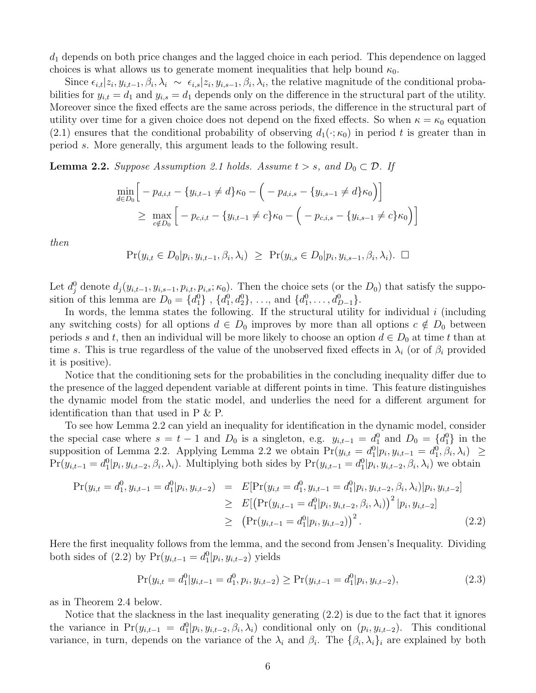$d_1$  depends on both price changes and the lagged choice in each period. This dependence on lagged choices is what allows us to generate moment inequalities that help bound  $\kappa_0$ .

Since  $\epsilon_{i,t}|z_i,y_{i,t-1},\beta_i,\lambda_i \sim \epsilon_{i,s}|z_i,y_{i,s-1},\beta_i,\lambda_i$ , the relative magnitude of the conditional probabilities for  $y_{i,t} = d_1$  and  $y_{i,s} = d_1$  depends only on the difference in the structural part of the utility. Moreover since the fixed effects are the same across periods, the difference in the structural part of utility over time for a given choice does not depend on the fixed effects. So when  $\kappa = \kappa_0$  equation (2.1) ensures that the conditional probability of observing  $d_1(\cdot;\kappa_0)$  in period t is greater than in period s. More generally, this argument leads to the following result.

**Lemma 2.2.** Suppose Assumption 2.1 holds. Assume  $t > s$ , and  $D_0 \subset \mathcal{D}$ . If

$$
\min_{d \in D_0} \left[ -p_{d,i,t} - \{y_{i,t-1} \neq d\} \kappa_0 - \left( -p_{d,i,s} - \{y_{i,s-1} \neq d\} \kappa_0 \right) \right]
$$
\n
$$
\geq \max_{c \notin D_0} \left[ -p_{c,i,t} - \{y_{i,t-1} \neq c\} \kappa_0 - \left( -p_{c,i,s} - \{y_{i,s-1} \neq c\} \kappa_0 \right) \right]
$$

then

$$
\Pr(y_{i,t} \in D_0 | p_i, y_{i,t-1}, \beta_i, \lambda_i) \geq \Pr(y_{i,s} \in D_0 | p_i, y_{i,s-1}, \beta_i, \lambda_i). \square
$$

Let  $d_j^0$  denote  $d_j(y_{i,t-1}, y_{i,s-1}, p_{i,t}, p_{i,s}; \kappa_0)$ . Then the choice sets (or the  $D_0$ ) that satisfy the supposition of this lemma are  $D_0 = \{d_1^0\}$ ,  $\{d_1^0, d_2^0\}$ , ..., and  $\{d_1^0, \ldots, d_{D-1}^0\}$ .

In words, the lemma states the following. If the structural utility for individual  $i$  (including any switching costs) for all options  $d \in D_0$  improves by more than all options  $c \notin D_0$  between periods s and t, then an individual will be more likely to choose an option  $d \in D_0$  at time t than at time s. This is true regardless of the value of the unobserved fixed effects in  $\lambda_i$  (or of  $\beta_i$  provided it is positive).

Notice that the conditioning sets for the probabilities in the concluding inequality differ due to the presence of the lagged dependent variable at different points in time. This feature distinguishes the dynamic model from the static model, and underlies the need for a different argument for identification than that used in P & P.

To see how Lemma 2.2 can yield an inequality for identification in the dynamic model, consider the special case where  $s = t - 1$  and  $D_0$  is a singleton, e.g.  $y_{i,t-1} = d_1^0$  and  $D_0 = \{d_1^0\}$  in the supposition of Lemma 2.2. Applying Lemma 2.2 we obtain  $Pr(y_{i,t} = d_1^0 | p_i, y_{i,t-1} = d_1^0, \beta_i, \lambda_i) \geq$  $Pr(y_{i,t-1} = d_1^0 | p_i, y_{i,t-2}, \beta_i, \lambda_i)$ . Multiplying both sides by  $Pr(y_{i,t-1} = d_1^0 | p_i, y_{i,t-2}, \beta_i, \lambda_i)$  we obtain

$$
\Pr(y_{i,t} = d_1^0, y_{i,t-1} = d_1^0 | p_i, y_{i,t-2}) = E[\Pr(y_{i,t} = d_1^0, y_{i,t-1} = d_1^0 | p_i, y_{i,t-2}, \beta_i, \lambda_i) | p_i, y_{i,t-2}]
$$
  
\n
$$
\geq E[\left(\Pr(y_{i,t-1} = d_1^0 | p_i, y_{i,t-2}, \beta_i, \lambda_i)\right)^2 | p_i, y_{i,t-2}]
$$
  
\n
$$
\geq \left(\Pr(y_{i,t-1} = d_1^0 | p_i, y_{i,t-2})\right)^2.
$$
\n(2.2)

Here the first inequality follows from the lemma, and the second from Jensen's Inequality. Dividing both sides of  $(2.2)$  by  $Pr(y_{i,t-1} = d_1^0 | p_i, y_{i,t-2})$  yields

$$
\Pr(y_{i,t} = d_1^0 | y_{i,t-1} = d_1^0, p_i, y_{i,t-2}) \ge \Pr(y_{i,t-1} = d_1^0 | p_i, y_{i,t-2}),\tag{2.3}
$$

as in Theorem 2.4 below.

Notice that the slackness in the last inequality generating (2.2) is due to the fact that it ignores the variance in  $Pr(y_{i,t-1} = d_1^0 | p_i, y_{i,t-2}, \beta_i, \lambda_i)$  conditional only on  $(p_i, y_{i,t-2})$ . This conditional variance, in turn, depends on the variance of the  $\lambda_i$  and  $\beta_i$ . The  $\{\beta_i, \lambda_i\}_i$  are explained by both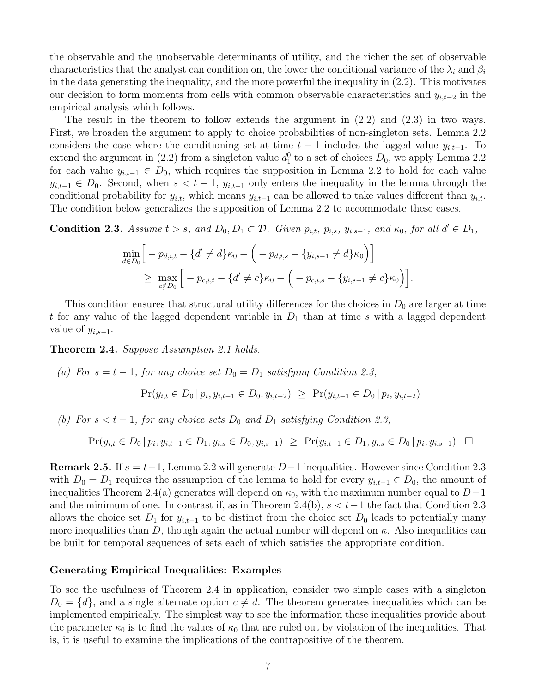the observable and the unobservable determinants of utility, and the richer the set of observable characteristics that the analyst can condition on, the lower the conditional variance of the  $\lambda_i$  and  $\beta_i$ in the data generating the inequality, and the more powerful the inequality in (2.2). This motivates our decision to form moments from cells with common observable characteristics and  $y_{i,t-2}$  in the empirical analysis which follows.

The result in the theorem to follow extends the argument in (2.2) and (2.3) in two ways. First, we broaden the argument to apply to choice probabilities of non-singleton sets. Lemma 2.2 considers the case where the conditioning set at time  $t-1$  includes the lagged value  $y_{i,t-1}$ . To extend the argument in (2.2) from a singleton value  $d_1^0$  to a set of choices  $D_0$ , we apply Lemma 2.2 for each value  $y_{i,t-1} \in D_0$ , which requires the supposition in Lemma 2.2 to hold for each value  $y_{i,t-1} \in D_0$ . Second, when  $s < t-1$ ,  $y_{i,t-1}$  only enters the inequality in the lemma through the conditional probability for  $y_{i,t}$ , which means  $y_{i,t-1}$  can be allowed to take values different than  $y_{i,t}$ . The condition below generalizes the supposition of Lemma 2.2 to accommodate these cases.

**Condition 2.3.** Assume  $t > s$ , and  $D_0, D_1 \subset \mathcal{D}$ . Given  $p_{i,t}, p_{i,s}, y_{i,s-1}$ , and  $\kappa_0$ , for all  $d' \in D_1$ ,

$$
\min_{d \in D_0} \Big[ -p_{d,i,t} - \{d' \neq d\} \kappa_0 - \Big( -p_{d,i,s} - \{y_{i,s-1} \neq d\} \kappa_0 \Big) \Big] \geq \max_{c \notin D_0} \Big[ -p_{c,i,t} - \{d' \neq c\} \kappa_0 - \Big( -p_{c,i,s} - \{y_{i,s-1} \neq c\} \kappa_0 \Big) \Big].
$$

This condition ensures that structural utility differences for the choices in  $D_0$  are larger at time t for any value of the lagged dependent variable in  $D_1$  than at time s with a lagged dependent value of  $y_{i,s-1}$ .

Theorem 2.4. Suppose Assumption 2.1 holds.

(a) For  $s = t - 1$ , for any choice set  $D_0 = D_1$  satisfying Condition 2.3,  $Pr(y_{i,t} \in D_0 | p_i, y_{i,t-1} \in D_0, y_{i,t-2}) \geq Pr(y_{i,t-1} \in D_0 | p_i, y_{i,t-2})$ 

(b) For  $s < t - 1$ , for any choice sets  $D_0$  and  $D_1$  satisfying Condition 2.3,

$$
\Pr(y_{i,t} \in D_0 | p_i, y_{i,t-1} \in D_1, y_{i,s} \in D_0, y_{i,s-1}) \geq \Pr(y_{i,t-1} \in D_1, y_{i,s} \in D_0 | p_i, y_{i,s-1}) \quad \Box
$$

**Remark 2.5.** If  $s = t-1$ , Lemma 2.2 will generate  $D-1$  inequalities. However since Condition 2.3 with  $D_0 = D_1$  requires the assumption of the lemma to hold for every  $y_{i,t-1} \in D_0$ , the amount of inequalities Theorem 2.4(a) generates will depend on  $\kappa_0$ , with the maximum number equal to  $D-1$ and the minimum of one. In contrast if, as in Theorem 2.4(b),  $s < t-1$  the fact that Condition 2.3 allows the choice set  $D_1$  for  $y_{i,t-1}$  to be distinct from the choice set  $D_0$  leads to potentially many more inequalities than D, though again the actual number will depend on  $\kappa$ . Also inequalities can be built for temporal sequences of sets each of which satisfies the appropriate condition.

#### Generating Empirical Inequalities: Examples

To see the usefulness of Theorem 2.4 in application, consider two simple cases with a singleton  $D_0 = \{d\}$ , and a single alternate option  $c \neq d$ . The theorem generates inequalities which can be implemented empirically. The simplest way to see the information these inequalities provide about the parameter  $\kappa_0$  is to find the values of  $\kappa_0$  that are ruled out by violation of the inequalities. That is, it is useful to examine the implications of the contrapositive of the theorem.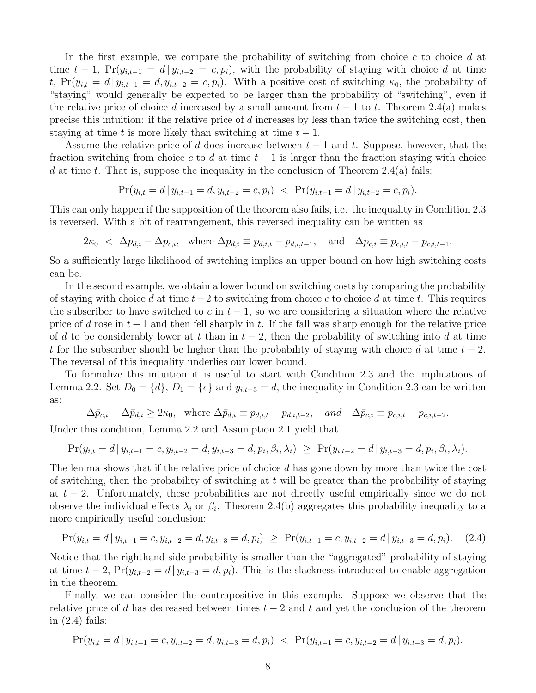In the first example, we compare the probability of switching from choice  $c$  to choice  $d$  at time  $t-1$ , Pr $(y_{i,t-1} = d | y_{i,t-2} = c, p_i)$ , with the probability of staying with choice d at time t, Pr( $y_{i,t} = d | y_{i,t-1} = d, y_{i,t-2} = c, p_i$ ). With a positive cost of switching  $\kappa_0$ , the probability of "staying" would generally be expected to be larger than the probability of "switching", even if the relative price of choice d increased by a small amount from  $t - 1$  to t. Theorem 2.4(a) makes precise this intuition: if the relative price of  $d$  increases by less than twice the switching cost, then staying at time t is more likely than switching at time  $t-1$ .

Assume the relative price of d does increase between  $t-1$  and t. Suppose, however, that the fraction switching from choice c to d at time  $t - 1$  is larger than the fraction staying with choice d at time t. That is, suppose the inequality in the conclusion of Theorem 2.4(a) fails:

$$
Pr(y_{i,t} = d \, | \, y_{i,t-1} = d, y_{i,t-2} = c, p_i) < Pr(y_{i,t-1} = d \, | \, y_{i,t-2} = c, p_i).
$$

This can only happen if the supposition of the theorem also fails, i.e. the inequality in Condition 2.3 is reversed. With a bit of rearrangement, this reversed inequality can be written as

$$
2\kappa_0 < \Delta p_{d,i} - \Delta p_{c,i}, \text{ where } \Delta p_{d,i} \equiv p_{d,i,t} - p_{d,i,t-1}, \text{ and } \Delta p_{c,i} \equiv p_{c,i,t} - p_{c,i,t-1}.
$$

So a sufficiently large likelihood of switching implies an upper bound on how high switching costs can be.

In the second example, we obtain a lower bound on switching costs by comparing the probability of staying with choice d at time  $t-2$  to switching from choice c to choice d at time t. This requires the subscriber to have switched to c in  $t - 1$ , so we are considering a situation where the relative price of d rose in  $t-1$  and then fell sharply in t. If the fall was sharp enough for the relative price of d to be considerably lower at t than in  $t-2$ , then the probability of switching into d at time t for the subscriber should be higher than the probability of staying with choice d at time  $t-2$ . The reversal of this inequality underlies our lower bound.

To formalize this intuition it is useful to start with Condition 2.3 and the implications of Lemma 2.2. Set  $D_0 = \{d\}$ ,  $D_1 = \{c\}$  and  $y_{i,t-3} = d$ , the inequality in Condition 2.3 can be written as:

$$
\Delta \bar{p}_{c,i} - \Delta \bar{p}_{d,i} \geq 2\kappa_0, \text{ where } \Delta \bar{p}_{d,i} \equiv p_{d,i,t} - p_{d,i,t-2}, \text{ and } \Delta \bar{p}_{c,i} \equiv p_{c,i,t} - p_{c,i,t-2}.
$$

Under this condition, Lemma 2.2 and Assumption 2.1 yield that

$$
\Pr(y_{i,t} = d \mid y_{i,t-1} = c, y_{i,t-2} = d, y_{i,t-3} = d, p_i, \beta_i, \lambda_i) \geq \Pr(y_{i,t-2} = d \mid y_{i,t-3} = d, p_i, \beta_i, \lambda_i).
$$

The lemma shows that if the relative price of choice d has gone down by more than twice the cost of switching, then the probability of switching at  $t$  will be greater than the probability of staying at  $t - 2$ . Unfortunately, these probabilities are not directly useful empirically since we do not observe the individual effects  $\lambda_i$  or  $\beta_i$ . Theorem 2.4(b) aggregates this probability inequality to a more empirically useful conclusion:

$$
\Pr(y_{i,t} = d \mid y_{i,t-1} = c, y_{i,t-2} = d, y_{i,t-3} = d, p_i) \ge \Pr(y_{i,t-1} = c, y_{i,t-2} = d \mid y_{i,t-3} = d, p_i). \tag{2.4}
$$

Notice that the righthand side probability is smaller than the "aggregated" probability of staying at time  $t-2$ ,  $Pr(y_{i,t-2} = d | y_{i,t-3} = d, p_i)$ . This is the slackness introduced to enable aggregation in the theorem.

Finally, we can consider the contrapositive in this example. Suppose we observe that the relative price of d has decreased between times  $t-2$  and t and yet the conclusion of the theorem in  $(2.4)$  fails:

$$
\Pr(y_{i,t} = d \mid y_{i,t-1} = c, y_{i,t-2} = d, y_{i,t-3} = d, p_i) < \Pr(y_{i,t-1} = c, y_{i,t-2} = d \mid y_{i,t-3} = d, p_i).
$$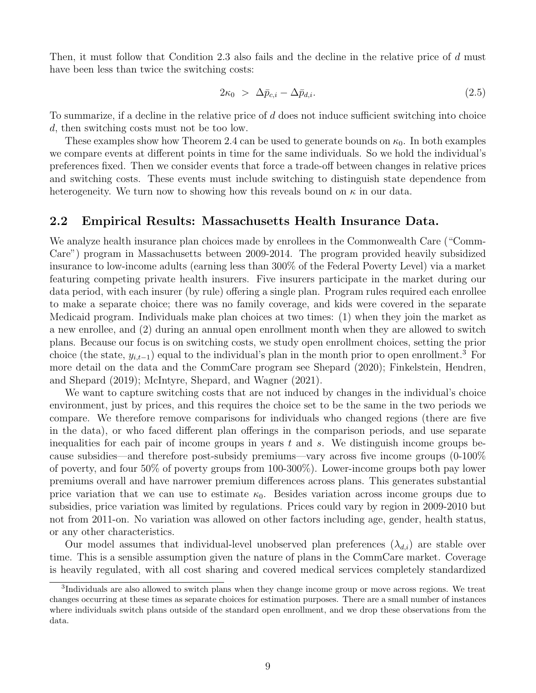Then, it must follow that Condition 2.3 also fails and the decline in the relative price of d must have been less than twice the switching costs:

$$
2\kappa_0 > \Delta \bar{p}_{c,i} - \Delta \bar{p}_{d,i}.
$$
\n
$$
(2.5)
$$

To summarize, if a decline in the relative price of d does not induce sufficient switching into choice d, then switching costs must not be too low.

These examples show how Theorem 2.4 can be used to generate bounds on  $\kappa_0$ . In both examples we compare events at different points in time for the same individuals. So we hold the individual's preferences fixed. Then we consider events that force a trade-off between changes in relative prices and switching costs. These events must include switching to distinguish state dependence from heterogeneity. We turn now to showing how this reveals bound on  $\kappa$  in our data.

### 2.2 Empirical Results: Massachusetts Health Insurance Data.

We analyze health insurance plan choices made by enrollees in the Commonwealth Care ("Comm-Care") program in Massachusetts between 2009-2014. The program provided heavily subsidized insurance to low-income adults (earning less than 300% of the Federal Poverty Level) via a market featuring competing private health insurers. Five insurers participate in the market during our data period, with each insurer (by rule) offering a single plan. Program rules required each enrollee to make a separate choice; there was no family coverage, and kids were covered in the separate Medicaid program. Individuals make plan choices at two times: (1) when they join the market as a new enrollee, and (2) during an annual open enrollment month when they are allowed to switch plans. Because our focus is on switching costs, we study open enrollment choices, setting the prior choice (the state,  $y_{i,t-1}$ ) equal to the individual's plan in the month prior to open enrollment.<sup>3</sup> For more detail on the data and the CommCare program see Shepard (2020); Finkelstein, Hendren, and Shepard (2019); McIntyre, Shepard, and Wagner (2021).

We want to capture switching costs that are not induced by changes in the individual's choice environment, just by prices, and this requires the choice set to be the same in the two periods we compare. We therefore remove comparisons for individuals who changed regions (there are five in the data), or who faced different plan offerings in the comparison periods, and use separate inequalities for each pair of income groups in years  $t$  and  $s$ . We distinguish income groups because subsidies—and therefore post-subsidy premiums—vary across five income groups (0-100% of poverty, and four 50% of poverty groups from 100-300%). Lower-income groups both pay lower premiums overall and have narrower premium differences across plans. This generates substantial price variation that we can use to estimate  $\kappa_0$ . Besides variation across income groups due to subsidies, price variation was limited by regulations. Prices could vary by region in 2009-2010 but not from 2011-on. No variation was allowed on other factors including age, gender, health status, or any other characteristics.

Our model assumes that individual-level unobserved plan preferences  $(\lambda_{d,i})$  are stable over time. This is a sensible assumption given the nature of plans in the CommCare market. Coverage is heavily regulated, with all cost sharing and covered medical services completely standardized

<sup>&</sup>lt;sup>3</sup>Individuals are also allowed to switch plans when they change income group or move across regions. We treat changes occurring at these times as separate choices for estimation purposes. There are a small number of instances where individuals switch plans outside of the standard open enrollment, and we drop these observations from the data.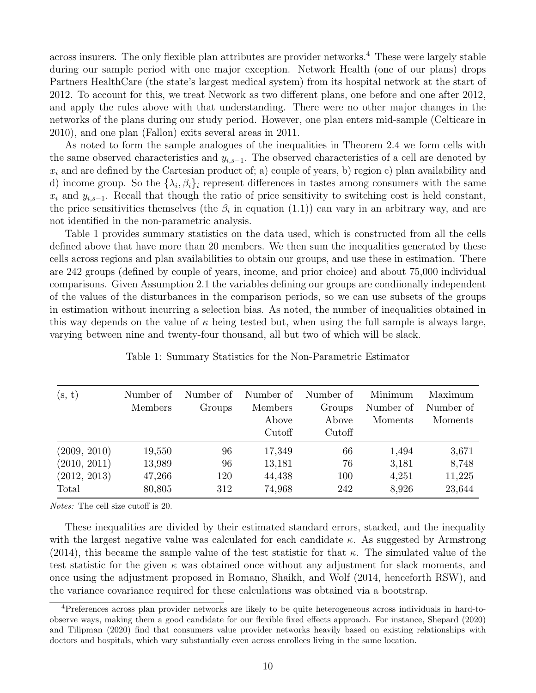across insurers. The only flexible plan attributes are provider networks.<sup>4</sup> These were largely stable during our sample period with one major exception. Network Health (one of our plans) drops Partners HealthCare (the state's largest medical system) from its hospital network at the start of 2012. To account for this, we treat Network as two different plans, one before and one after 2012, and apply the rules above with that understanding. There were no other major changes in the networks of the plans during our study period. However, one plan enters mid-sample (Celticare in 2010), and one plan (Fallon) exits several areas in 2011.

As noted to form the sample analogues of the inequalities in Theorem 2.4 we form cells with the same observed characteristics and  $y_{i,s-1}$ . The observed characteristics of a cell are denoted by  $x_i$  and are defined by the Cartesian product of; a) couple of years, b) region c) plan availability and d) income group. So the  $\{\lambda_i, \beta_i\}_i$  represent differences in tastes among consumers with the same  $x_i$  and  $y_{i,s-1}$ . Recall that though the ratio of price sensitivity to switching cost is held constant, the price sensitivities themselves (the  $\beta_i$  in equation (1.1)) can vary in an arbitrary way, and are not identified in the non-parametric analysis.

Table 1 provides summary statistics on the data used, which is constructed from all the cells defined above that have more than 20 members. We then sum the inequalities generated by these cells across regions and plan availabilities to obtain our groups, and use these in estimation. There are 242 groups (defined by couple of years, income, and prior choice) and about 75,000 individual comparisons. Given Assumption 2.1 the variables defining our groups are condiionally independent of the values of the disturbances in the comparison periods, so we can use subsets of the groups in estimation without incurring a selection bias. As noted, the number of inequalities obtained in this way depends on the value of  $\kappa$  being tested but, when using the full sample is always large, varying between nine and twenty-four thousand, all but two of which will be slack.

| (s, t)       | Number of<br>Members | Number of<br>Groups | Number of<br>Members<br>Above<br>Cutoff | Number of<br>Groups<br>Above<br>Cutoff | Minimum<br>Number of<br>Moments | Maximum<br>Number of<br>Moments |
|--------------|----------------------|---------------------|-----------------------------------------|----------------------------------------|---------------------------------|---------------------------------|
| (2009, 2010) | 19,550               | 96                  | 17,349                                  | 66                                     | 1,494                           | 3,671                           |
| (2010, 2011) | 13,989               | 96                  | 13,181                                  | 76                                     | 3,181                           | 8,748                           |
| (2012, 2013) | 47,266               | 120                 | 44,438                                  | 100                                    | 4,251                           | 11,225                          |
| Total        | 80,805               | 312                 | 74,968                                  | 242                                    | 8,926                           | 23,644                          |

Table 1: Summary Statistics for the Non-Parametric Estimator

Notes: The cell size cutoff is 20.

These inequalities are divided by their estimated standard errors, stacked, and the inequality with the largest negative value was calculated for each candidate  $\kappa$ . As suggested by Armstrong (2014), this became the sample value of the test statistic for that  $\kappa$ . The simulated value of the test statistic for the given  $\kappa$  was obtained once without any adjustment for slack moments, and once using the adjustment proposed in Romano, Shaikh, and Wolf (2014, henceforth RSW), and the variance covariance required for these calculations was obtained via a bootstrap.

<sup>4</sup>Preferences across plan provider networks are likely to be quite heterogeneous across individuals in hard-toobserve ways, making them a good candidate for our flexible fixed effects approach. For instance, Shepard (2020) and Tilipman (2020) find that consumers value provider networks heavily based on existing relationships with doctors and hospitals, which vary substantially even across enrollees living in the same location.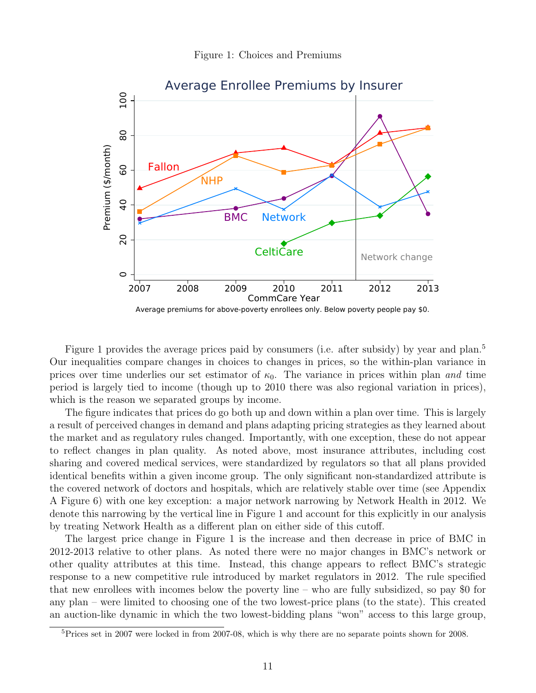



Figure 1 provides the average prices paid by consumers (i.e. after subsidy) by year and plan.<sup>5</sup> Our inequalities compare changes in choices to changes in prices, so the within-plan variance in prices over time underlies our set estimator of  $\kappa_0$ . The variance in prices within plan and time period is largely tied to income (though up to 2010 there was also regional variation in prices), which is the reason we separated groups by income.

The figure indicates that prices do go both up and down within a plan over time. This is largely a result of perceived changes in demand and plans adapting pricing strategies as they learned about the market and as regulatory rules changed. Importantly, with one exception, these do not appear to reflect changes in plan quality. As noted above, most insurance attributes, including cost sharing and covered medical services, were standardized by regulators so that all plans provided identical benefits within a given income group. The only significant non-standardized attribute is the covered network of doctors and hospitals, which are relatively stable over time (see Appendix A Figure 6) with one key exception: a major network narrowing by Network Health in 2012. We denote this narrowing by the vertical line in Figure 1 and account for this explicitly in our analysis by treating Network Health as a different plan on either side of this cutoff.

The largest price change in Figure 1 is the increase and then decrease in price of BMC in 2012-2013 relative to other plans. As noted there were no major changes in BMC's network or other quality attributes at this time. Instead, this change appears to reflect BMC's strategic response to a new competitive rule introduced by market regulators in 2012. The rule specified that new enrollees with incomes below the poverty line – who are fully subsidized, so pay \$0 for any plan – were limited to choosing one of the two lowest-price plans (to the state). This created an auction-like dynamic in which the two lowest-bidding plans "won" access to this large group,

<sup>&</sup>lt;sup>5</sup>Prices set in 2007 were locked in from 2007-08, which is why there are no separate points shown for 2008.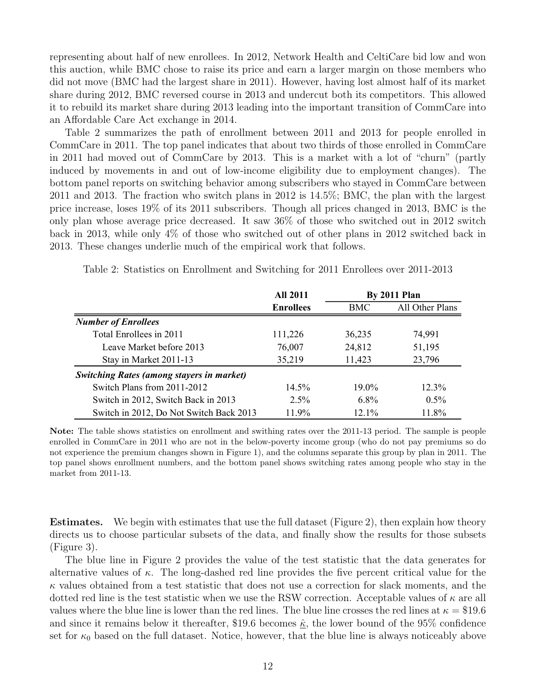representing about half of new enrollees. In 2012, Network Health and CeltiCare bid low and won this auction, while BMC chose to raise its price and earn a larger margin on those members who did not move (BMC had the largest share in 2011). However, having lost almost half of its market share during 2012, BMC reversed course in 2013 and undercut both its competitors. This allowed it to rebuild its market share during 2013 leading into the important transition of CommCare into an Affordable Care Act exchange in 2014.

Table 2 summarizes the path of enrollment between 2011 and 2013 for people enrolled in CommCare in 2011. The top panel indicates that about two thirds of those enrolled in CommCare in 2011 had moved out of CommCare by 2013. This is a market with a lot of "churn" (partly induced by movements in and out of low-income eligibility due to employment changes). The bottom panel reports on switching behavior among subscribers who stayed in CommCare between 2011 and 2013. The fraction who switch plans in 2012 is 14.5%; BMC, the plan with the largest price increase, loses 19% of its 2011 subscribers. Though all prices changed in 2013, BMC is the only plan whose average price decreased. It saw 36% of those who switched out in 2012 switch back in 2013, while only 4% of those who switched out of other plans in 2012 switched back in 2013. These changes underlie much of the empirical work that follows.

|                                                  | <b>All 2011</b>  |            | <b>By 2011 Plan</b> |
|--------------------------------------------------|------------------|------------|---------------------|
|                                                  | <b>Enrollees</b> | <b>BMC</b> | All Other Plans     |
| <b>Number of Enrollees</b>                       |                  |            |                     |
| Total Enrollees in 2011                          | 111,226          | 36,235     | 74,991              |
| Leave Market before 2013                         | 76,007           | 24,812     | 51,195              |
| Stay in Market 2011-13                           | 35,219           | 11,423     | 23,796              |
| <b>Switching Rates (among stayers in market)</b> |                  |            |                     |
| Switch Plans from 2011-2012                      | 14.5%            | $19.0\%$   | $12.3\%$            |
| Switch in 2012, Switch Back in 2013              | $2.5\%$          | $6.8\%$    | $0.5\%$             |
| Switch in 2012, Do Not Switch Back 2013          | 11.9%            | $12.1\%$   | 11.8%               |

Table 2: Statistics on Enrollment and Switching for 2011 Enrollees over 2011-2013

Note: The table shows statistics on enrollment and swithing rates over the 2011-13 period. The sample is people enrolled in CommCare in 2011 who are not in the below-poverty income group (who do not pay premiums so do not experience the premium changes shown in Figure 1), and the columns separate this group by plan in 2011. The top panel shows enrollment numbers, and the bottom panel shows switching rates among people who stay in the market from 2011-13.

Estimates. We begin with estimates that use the full dataset (Figure 2), then explain how theory directs us to choose particular subsets of the data, and finally show the results for those subsets (Figure 3).

The blue line in Figure 2 provides the value of the test statistic that the data generates for alternative values of  $\kappa$ . The long-dashed red line provides the five percent critical value for the  $\kappa$  values obtained from a test statistic that does not use a correction for slack moments, and the dotted red line is the test statistic when we use the RSW correction. Acceptable values of  $\kappa$  are all values where the blue line is lower than the red lines. The blue line crosses the red lines at  $\kappa = \$19.6$ and since it remains below it thereafter, \$19.6 becomes  $\hat{\kappa}$ , the lower bound of the 95% confidence set for  $\kappa_0$  based on the full dataset. Notice, however, that the blue line is always noticeably above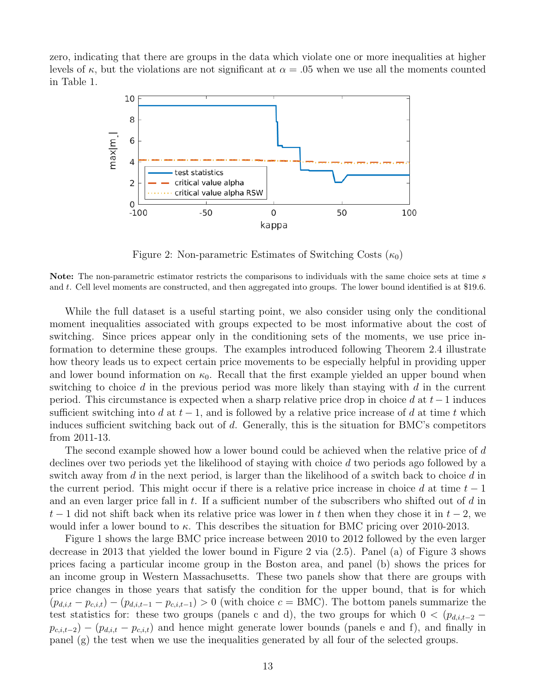zero, indicating that there are groups in the data which violate one or more inequalities at higher levels of  $\kappa$ , but the violations are not significant at  $\alpha = .05$  when we use all the moments counted in Table 1.



Figure 2: Non-parametric Estimates of Switching Costs  $(\kappa_0)$ 

Note: The non-parametric estimator restricts the comparisons to individuals with the same choice sets at time s and t. Cell level moments are constructed, and then aggregated into groups. The lower bound identified is at \$19.6.

While the full dataset is a useful starting point, we also consider using only the conditional moment inequalities associated with groups expected to be most informative about the cost of switching. Since prices appear only in the conditioning sets of the moments, we use price information to determine these groups. The examples introduced following Theorem 2.4 illustrate how theory leads us to expect certain price movements to be especially helpful in providing upper and lower bound information on  $\kappa_0$ . Recall that the first example yielded an upper bound when switching to choice d in the previous period was more likely than staying with  $d$  in the current period. This circumstance is expected when a sharp relative price drop in choice d at  $t-1$  induces sufficient switching into d at  $t-1$ , and is followed by a relative price increase of d at time t which induces sufficient switching back out of  $d$ . Generally, this is the situation for BMC's competitors from 2011-13.

The second example showed how a lower bound could be achieved when the relative price of d declines over two periods yet the likelihood of staying with choice d two periods ago followed by a switch away from  $d$  in the next period, is larger than the likelihood of a switch back to choice  $d$  in the current period. This might occur if there is a relative price increase in choice d at time  $t-1$ and an even larger price fall in  $t$ . If a sufficient number of the subscribers who shifted out of  $d$  in  $t-1$  did not shift back when its relative price was lower in t then when they chose it in  $t-2$ , we would infer a lower bound to  $\kappa$ . This describes the situation for BMC pricing over 2010-2013.

Figure 1 shows the large BMC price increase between 2010 to 2012 followed by the even larger decrease in 2013 that yielded the lower bound in Figure 2 via (2.5). Panel (a) of Figure 3 shows prices facing a particular income group in the Boston area, and panel (b) shows the prices for an income group in Western Massachusetts. These two panels show that there are groups with price changes in those years that satisfy the condition for the upper bound, that is for which  $(p_{d,i,t} - p_{c,i,t}) - (p_{d,i,t-1} - p_{c,i,t-1}) > 0$  (with choice  $c = \text{BMC}$ ). The bottom panels summarize the test statistics for: these two groups (panels c and d), the two groups for which  $0 < (p_{d,i,t-2} p_{c,i,t-2}$ ) − ( $p_{d,i,t}$  –  $p_{c,i,t}$ ) and hence might generate lower bounds (panels e and f), and finally in panel (g) the test when we use the inequalities generated by all four of the selected groups.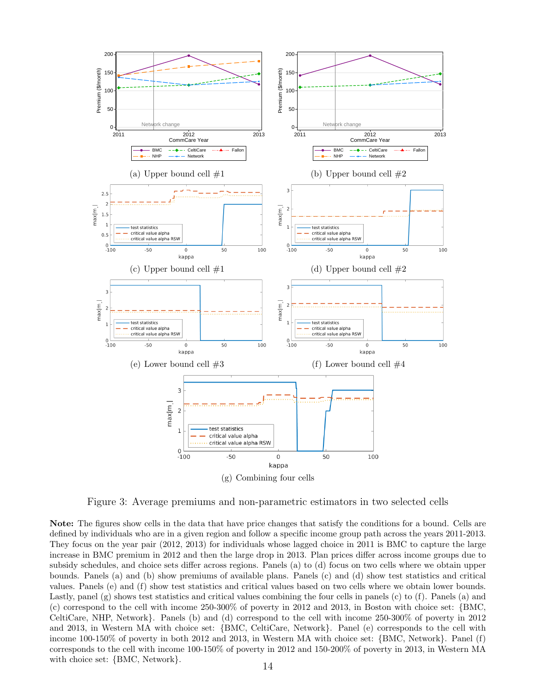

(g) Combining four cells

Figure 3: Average premiums and non-parametric estimators in two selected cells

Note: The figures show cells in the data that have price changes that satisfy the conditions for a bound. Cells are defined by individuals who are in a given region and follow a specific income group path across the years 2011-2013. They focus on the year pair (2012, 2013) for individuals whose lagged choice in 2011 is BMC to capture the large increase in BMC premium in 2012 and then the large drop in 2013. Plan prices differ across income groups due to subsidy schedules, and choice sets differ across regions. Panels (a) to (d) focus on two cells where we obtain upper bounds. Panels (a) and (b) show premiums of available plans. Panels (c) and (d) show test statistics and critical values. Panels (e) and (f) show test statistics and critical values based on two cells where we obtain lower bounds. Lastly, panel (g) shows test statistics and critical values combining the four cells in panels (c) to (f). Panels (a) and (c) correspond to the cell with income 250-300% of poverty in 2012 and 2013, in Boston with choice set: {BMC, CeltiCare, NHP, Network}. Panels (b) and (d) correspond to the cell with income 250-300% of poverty in 2012 and 2013, in Western MA with choice set: {BMC, CeltiCare, Network}. Panel (e) corresponds to the cell with income 100-150% of poverty in both 2012 and 2013, in Western MA with choice set: {BMC, Network}. Panel (f) corresponds to the cell with income 100-150% of poverty in 2012 and 150-200% of poverty in 2013, in Western MA with choice set: {BMC, Network}.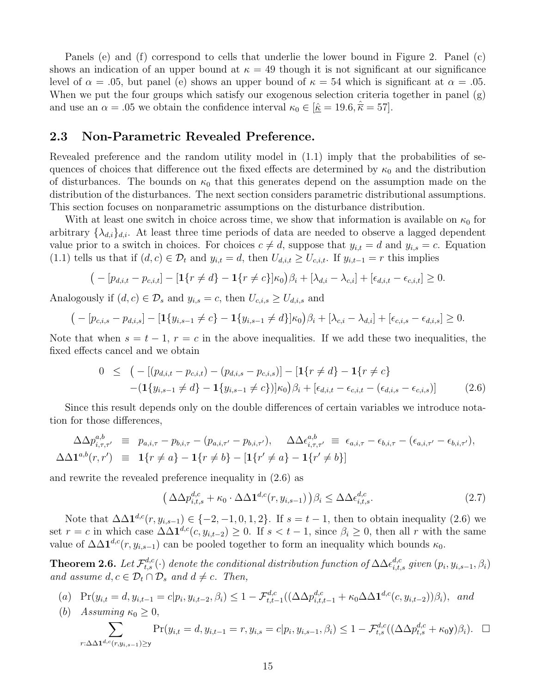Panels (e) and (f) correspond to cells that underlie the lower bound in Figure 2. Panel (c) shows an indication of an upper bound at  $\kappa = 49$  though it is not significant at our significance level of  $\alpha = .05$ , but panel (e) shows an upper bound of  $\kappa = 54$  which is significant at  $\alpha = .05$ . When we put the four groups which satisfy our exogenous selection criteria together in panel (g) and use an  $\alpha = .05$  we obtain the confidence interval  $\kappa_0 \in [\hat{\kappa} = 19.6, \hat{\kappa} = 57]$ .

### 2.3 Non-Parametric Revealed Preference.

Revealed preference and the random utility model in (1.1) imply that the probabilities of sequences of choices that difference out the fixed effects are determined by  $\kappa_0$  and the distribution of disturbances. The bounds on  $\kappa_0$  that this generates depend on the assumption made on the distribution of the disturbances. The next section considers parametric distributional assumptions. This section focuses on nonparametric assumptions on the disturbance distribution.

With at least one switch in choice across time, we show that information is available on  $\kappa_0$  for arbitrary  $\{\lambda_{d,i}\}_{d,i}$ . At least three time periods of data are needed to observe a lagged dependent value prior to a switch in choices. For choices  $c \neq d$ , suppose that  $y_{i,t} = d$  and  $y_{i,s} = c$ . Equation (1.1) tells us that if  $(d, c) \in \mathcal{D}_t$  and  $y_{i,t} = d$ , then  $U_{d,i,t} \geq U_{c,i,t}$ . If  $y_{i,t-1} = r$  this implies

$$
(-[p_{d,i,t}-p_{c,i,t}]-[1\{r\neq d\}-1\{r\neq c\}]\kappa_0)\beta_i+[\lambda_{d,i}-\lambda_{c,i}]+[\epsilon_{d,i,t}-\epsilon_{c,i,t}]\geq 0.
$$

Analogously if  $(d, c) \in \mathcal{D}_s$  and  $y_{i,s} = c$ , then  $U_{c,i,s} \geq U_{d,i,s}$  and

$$
\big(-[p_{c,i,s}-p_{d,i,s}]-[{\bf 1}\{y_{i,s-1}\neq c\}-{\bf 1}\{y_{i,s-1}\neq d\}] \kappa_0\big)\beta_i + [\lambda_{c,i}-\lambda_{d,i}]+[\epsilon_{c,i,s}-\epsilon_{d,i,s}]\geq 0.
$$

Note that when  $s = t - 1$ ,  $r = c$  in the above inequalities. If we add these two inequalities, the fixed effects cancel and we obtain

$$
0 \le (-[(p_{d,i,t} - p_{c,i,t}) - (p_{d,i,s} - p_{c,i,s})] - [\mathbf{1}\{r \ne d\} - \mathbf{1}\{r \ne c\} - (\mathbf{1}\{y_{i,s-1} \ne d\} - \mathbf{1}\{y_{i,s-1} \ne c\})]\kappa_0)\beta_i + [\epsilon_{d,i,t} - \epsilon_{c,i,t} - (\epsilon_{d,i,s} - \epsilon_{c,i,s})]
$$
(2.6)

Since this result depends only on the double differences of certain variables we introduce notation for those differences,

$$
\Delta \Delta p_{i,\tau,\tau'}^{a,b} \equiv p_{a,i,\tau} - p_{b,i,\tau} - (p_{a,i,\tau'} - p_{b,i,\tau'}), \quad \Delta \Delta \epsilon_{i,\tau,\tau'}^{a,b} \equiv \epsilon_{a,i,\tau} - \epsilon_{b,i,\tau} - (\epsilon_{a,i,\tau'} - \epsilon_{b,i,\tau'}), \n\Delta \Delta \mathbf{1}^{a,b}(\tau,\tau') \equiv \mathbf{1}\{r \neq a\} - \mathbf{1}\{r \neq b\} - [\mathbf{1}\{r' \neq a\} - \mathbf{1}\{r' \neq b\}]
$$

and rewrite the revealed preference inequality in (2.6) as

$$
\left(\Delta \Delta p_{i,t,s}^{d,c} + \kappa_0 \cdot \Delta \Delta \mathbf{1}^{d,c}(r, y_{i,s-1})\right) \beta_i \leq \Delta \Delta \epsilon_{i,t,s}^{d,c}.\tag{2.7}
$$

Note that  $\Delta \Delta \mathbf{1}^{d,c}(r, y_{i,s-1}) \in \{-2, -1, 0, 1, 2\}$ . If  $s = t - 1$ , then to obtain inequality (2.6) we set  $r = c$  in which case  $\Delta \Delta \mathbf{1}^{d,c}(c, y_{i,t-2}) \geq 0$ . If  $s < t-1$ , since  $\beta_i \geq 0$ , then all r with the same value of  $\Delta\Delta\mathbf{1}^{d,c}(r, y_{i,s-1})$  can be pooled together to form an inequality which bounds  $\kappa_0$ .

**Theorem 2.6.** Let  $\mathcal{F}^{d,c}_{t,s}(\cdot)$  denote the conditional distribution function of  $\Delta\Delta\epsilon^{d,c}_{i,t,s}$  given  $(p_i,y_{i,s-1},\beta_i)$ and assume  $d, c \in \mathcal{D}_t \cap \mathcal{D}_s$  and  $d \neq c$ . Then,

(a)  $\Pr(y_{i,t} = d, y_{i,t-1} = c | p_i, y_{i,t-2}, \beta_i) \leq 1 - \mathcal{F}^{d,c}_{t,t-1} \left( (\Delta \Delta p_{i,t,t-1}^{d,c} + \kappa_0 \Delta \Delta \mathbf{1}^{d,c}(c, y_{i,t-2})) \beta_i \right), \text{ and}$ 

(b) Assuming 
$$
\kappa_0 \ge 0
$$
,  
\n
$$
\sum_{r:\Delta\Delta\mathbf{1}^{d,c}(r,y_{i,s-1})\ge y} \Pr(y_{i,t} = d, y_{i,t-1} = r, y_{i,s} = c|p_i, y_{i,s-1}, \beta_i) \le 1 - \mathcal{F}_{t,s}^{d,c}((\Delta\Delta p_{t,s}^{d,c} + \kappa_0 y)\beta_i). \quad \Box
$$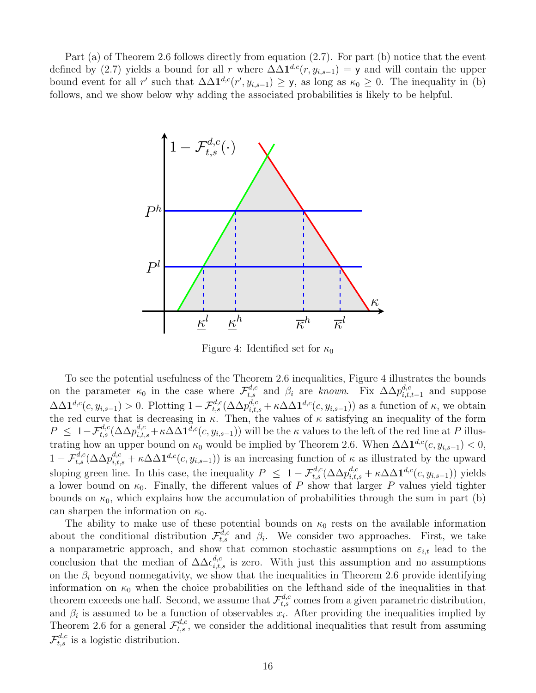Part (a) of Theorem 2.6 follows directly from equation (2.7). For part (b) notice that the event defined by (2.7) yields a bound for all r where  $\Delta\Delta\mathbf{1}^{d,c}(r,y_{i,s-1}) = \mathsf{y}$  and will contain the upper bound event for all r' such that  $\Delta \Delta \mathbf{1}^{d,c}(r', y_{i,s-1}) \geq \mathsf{y}$ , as long as  $\kappa_0 \geq 0$ . The inequality in (b) follows, and we show below why adding the associated probabilities is likely to be helpful.



Figure 4: Identified set for  $\kappa_0$ 

To see the potential usefulness of the Theorem 2.6 inequalities, Figure 4 illustrates the bounds on the parameter  $\kappa_0$  in the case where  $\mathcal{F}^{d,c}_{t,s}$  and  $\beta_i$  are known. Fix  $\Delta \Delta p_{i,t,s}^{d,c}$  $_{i,t,t-1}^{a,c}$  and suppose  $\Delta\Delta\mathbf{1}^{d,c}(c,y_{i,s-1})>0.$  Plotting  $1-\mathcal{F}_{t,s}^{d,c}(\Delta\Delta p_{i,t,s}^{d,c}+\kappa\Delta\Delta\mathbf{1}^{d,c}(c,y_{i,s-1}))$  as a function of  $\kappa$ , we obtain the red curve that is decreasing in  $\kappa$ . Then, the values of  $\kappa$  satisfying an inequality of the form  $P \leq 1 - \mathcal{F}^{d,c}_{t,s}(\Delta \Delta p^{d,c}_{i,t,s} + \kappa \Delta \Delta \mathbf{1}^{d,c}(c, y_{i,s-1}))$  will be the  $\kappa$  values to the left of the red line at P illustrating how an upper bound on  $\kappa_0$  would be implied by Theorem 2.6. When  $\Delta\Delta\mathbf{1}^{d,c}(c, y_{i,s-1}) < 0$ ,  $1 - \mathcal{F}^{d,c}_{t,s}(\Delta \Delta p_{i,t,s}^{d,c} + \kappa \Delta \Delta \mathbf{1}^{d,c}(c, y_{i,s-1}))$  is an increasing function of  $\kappa$  as illustrated by the upward sloping green line. In this case, the inequality  $P \leq 1 - \mathcal{F}^{d,c}_{t,s}(\Delta \Delta p^{d,c}_{i,t,s} + \kappa \Delta \Delta \mathbf{1}^{d,c}(c, y_{i,s-1}))$  yields a lower bound on  $\kappa_0$ . Finally, the different values of P show that larger P values yield tighter bounds on  $\kappa_0$ , which explains how the accumulation of probabilities through the sum in part (b) can sharpen the information on  $\kappa_0$ .

The ability to make use of these potential bounds on  $\kappa_0$  rests on the available information about the conditional distribution  $\mathcal{F}^{d,c}_{t,s}$  and  $\beta_i$ . We consider two approaches. First, we take a nonparametric approach, and show that common stochastic assumptions on  $\varepsilon_{i,t}$  lead to the conclusion that the median of  $\Delta\Delta \epsilon_{i,t,s}^{d,c}$  is zero. With just this assumption and no assumptions on the  $\beta_i$  beyond nonnegativity, we show that the inequalities in Theorem 2.6 provide identifying information on  $\kappa_0$  when the choice probabilities on the lefthand side of the inequalities in that theorem exceeds one half. Second, we assume that  $\mathcal{F}^{d,c}_{t,s}$  comes from a given parametric distribution, and  $\beta_i$  is assumed to be a function of observables  $x_i$ . After providing the inequalities implied by Theorem 2.6 for a general  $\mathcal{F}^{d,c}_{t,s}$ , we consider the additional inequalities that result from assuming  $\mathcal{F}^{d,c}_{t,s}$  is a logistic distribution.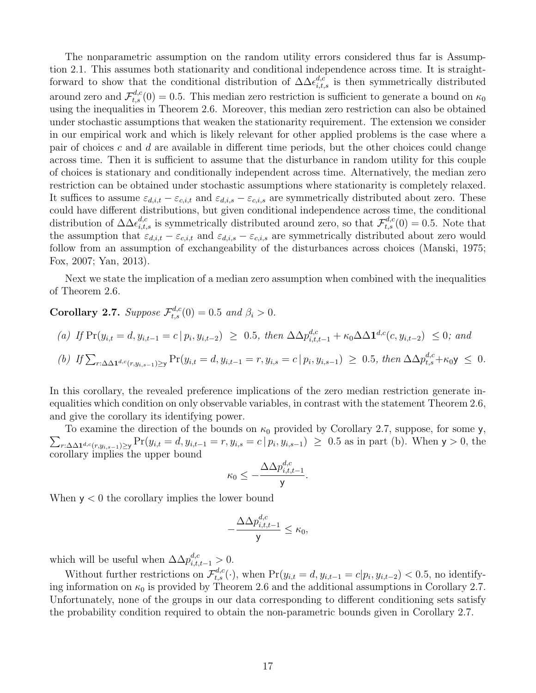The nonparametric assumption on the random utility errors considered thus far is Assumption 2.1. This assumes both stationarity and conditional independence across time. It is straightforward to show that the conditional distribution of  $\Delta\Delta \epsilon_{i,t,s}^{d,c}$  is then symmetrically distributed around zero and  $\mathcal{F}^{d,c}_{t,s}(0) = 0.5$ . This median zero restriction is sufficient to generate a bound on  $\kappa_0$ using the inequalities in Theorem 2.6. Moreover, this median zero restriction can also be obtained under stochastic assumptions that weaken the stationarity requirement. The extension we consider in our empirical work and which is likely relevant for other applied problems is the case where a pair of choices c and d are available in different time periods, but the other choices could change across time. Then it is sufficient to assume that the disturbance in random utility for this couple of choices is stationary and conditionally independent across time. Alternatively, the median zero restriction can be obtained under stochastic assumptions where stationarity is completely relaxed. It suffices to assume  $\varepsilon_{d,i,t} - \varepsilon_{c,i,t}$  and  $\varepsilon_{d,i,s} - \varepsilon_{c,i,s}$  are symmetrically distributed about zero. These could have different distributions, but given conditional independence across time, the conditional distribution of  $\Delta \Delta \epsilon_{i,t,s}^{d,c}$  is symmetrically distributed around zero, so that  $\mathcal{F}_{t,s}^{d,c}(0) = 0.5$ . Note that the assumption that  $\varepsilon_{d,i,t} - \varepsilon_{c,i,t}$  and  $\varepsilon_{d,i,s} - \varepsilon_{c,i,s}$  are symmetrically distributed about zero would follow from an assumption of exchangeability of the disturbances across choices (Manski, 1975; Fox, 2007; Yan, 2013).

Next we state the implication of a median zero assumption when combined with the inequalities of Theorem 2.6.

**Corollary 2.7.** Suppose  $\mathcal{F}^{d,c}_{t,s}(0) = 0.5$  and  $\beta_i > 0$ .

(a) If 
$$
Pr(y_{i,t} = d, y_{i,t-1} = c | p_i, y_{i,t-2}) \ge 0.5
$$
, then  $\Delta \Delta p_{i,t,t-1}^{d,c} + \kappa_0 \Delta \Delta \mathbf{1}^{d,c}(c, y_{i,t-2}) \le 0$ ; and  
\n(b) If  $\sum_{r:\Delta \Delta \mathbf{1}^{d,c}(r,y_{i,s-1}) \ge y} Pr(y_{i,t} = d, y_{i,t-1} = r, y_{i,s} = c | p_i, y_{i,s-1}) \ge 0.5$ , then  $\Delta \Delta p_{t,s}^{d,c} + \kappa_0 \mathbf{y} \le 0$ .

In this corollary, the revealed preference implications of the zero median restriction generate inequalities which condition on only observable variables, in contrast with the statement Theorem 2.6, and give the corollary its identifying power.

 $\sum_{r:\Delta\Delta\mathbf{1}^{d,c}(r,y_{i,s-1})\geq \mathbf{y}} \Pr(y_{i,t}=d,y_{i,t-1}=r,y_{i,s}=c\,|\,p_i,y_{i,s-1})\geq 0.5$  as in part (b). When  $\mathbf{y}>0$ , the To examine the direction of the bounds on  $\kappa_0$  provided by Corollary 2.7, suppose, for some y, corollary implies the upper bound

$$
\kappa_0 \leq -\frac{\Delta \Delta p_{i,t,t-1}^{d,c}}{\mathsf{y}}.
$$

When  $y < 0$  the corollary implies the lower bound

$$
-\frac{\Delta \Delta p_{i,t,t-1}^{d,c}}{\mathsf{y}} \le \kappa_0,
$$

which will be useful when  $\Delta \Delta p_{i,t,t-1}^{d,c} > 0$ .

Without further restrictions on  $\mathcal{F}^{d,c}_{t,s}(\cdot)$ , when  $Pr(y_{i,t} = d, y_{i,t-1} = c | p_i, y_{i,t-2}) < 0.5$ , no identifying information on  $\kappa_0$  is provided by Theorem 2.6 and the additional assumptions in Corollary 2.7. Unfortunately, none of the groups in our data corresponding to different conditioning sets satisfy the probability condition required to obtain the non-parametric bounds given in Corollary 2.7.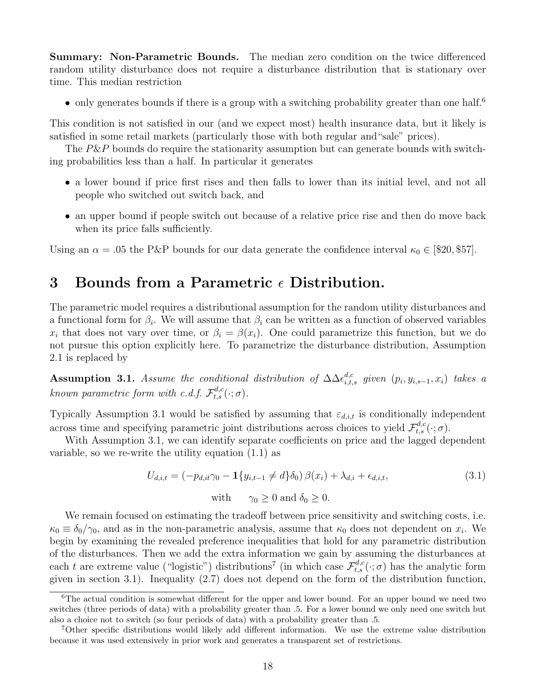Summary: Non-Parametric Bounds. The median zero condition on the twice differenced random utility disturbance does not require a disturbance distribution that is stationary over time. This median restriction

• only generates bounds if there is a group with a switching probability greater than one half.<sup>6</sup>

This condition is not satisfied in our (and we expect most) health insurance data, but it likely is satisfied in some retail markets (particularly those with both regular and "sale" prices).

The P&P bounds do require the stationarity assumption but can generate bounds with switching probabilities less than a half. In particular it generates

- a lower bound if price first rises and then falls to lower than its initial level, and not all people who switched out switch back, and
- an upper bound if people switch out because of a relative price rise and then do move back when its price falls sufficiently.

Using an  $\alpha = .05$  the P&P bounds for our data generate the confidence interval  $\kappa_0 \in [\$20, \$57]$ .

## 3 Bounds from a Parametric  $\epsilon$  Distribution.

The parametric model requires a distributional assumption for the random utility disturbances and a functional form for  $\beta_i$ . We will assume that  $\beta_i$  can be written as a function of observed variables  $x_i$  that does not vary over time, or  $\beta_i = \beta(x_i)$ . One could parametrize this function, but we do not pursue this option explicitly here. To parametrize the disturbance distribution, Assumption 2.1 is replaced by

Assumption 3.1. Assume the conditional distribution of  $\Delta\Delta \epsilon_{i,t,s}^{d,c}$  given  $(p_i, y_{i,s-1}, x_i)$  takes a known parametric form with c.d.f.  $\mathcal{F}^{d,c}_{t,s}(\cdot;\sigma)$ .

Typically Assumption 3.1 would be satisfied by assuming that  $\varepsilon_{d,i,t}$  is conditionally independent across time and specifying parametric joint distributions across choices to yield  $\mathcal{F}^{d,c}_{t,s}(\cdot;\sigma)$ .

With Assumption 3.1, we can identify separate coefficients on price and the lagged dependent variable, so we re-write the utility equation (1.1) as

$$
U_{d,i,t} = (-p_{d,it}\gamma_0 - \mathbf{1}\{y_{i,t-1} \neq d\}\delta_0) \beta(x_i) + \lambda_{d,i} + \epsilon_{d,i,t},
$$
\n
$$
\text{with} \qquad \gamma_0 \geq 0 \text{ and } \delta_0 \geq 0.
$$
\n
$$
(3.1)
$$

We remain focused on estimating the tradeoff between price sensitivity and switching costs, i.e.  $\kappa_0 \equiv \delta_0/\gamma_0$ , and as in the non-parametric analysis, assume that  $\kappa_0$  does not dependent on  $x_i$ . We begin by examining the revealed preference inequalities that hold for any parametric distribution of the disturbances. Then we add the extra information we gain by assuming the disturbances at each t are extreme value ("logistic") distributions<sup>7</sup> (in which case  $\mathcal{F}^{d,c}_{t,s}(\cdot;\sigma)$  has the analytic form given in section 3.1). Inequality (2.7) does not depend on the form of the distribution function,

<sup>&</sup>lt;sup>6</sup>The actual condition is somewhat different for the upper and lower bound. For an upper bound we need two switches (three periods of data) with a probability greater than .5. For a lower bound we only need one switch but also a choice not to switch (so four periods of data) with a probability greater than .5.

<sup>7</sup>Other specific distributions would likely add different information. We use the extreme value distribution because it was used extensively in prior work and generates a transparent set of restrictions.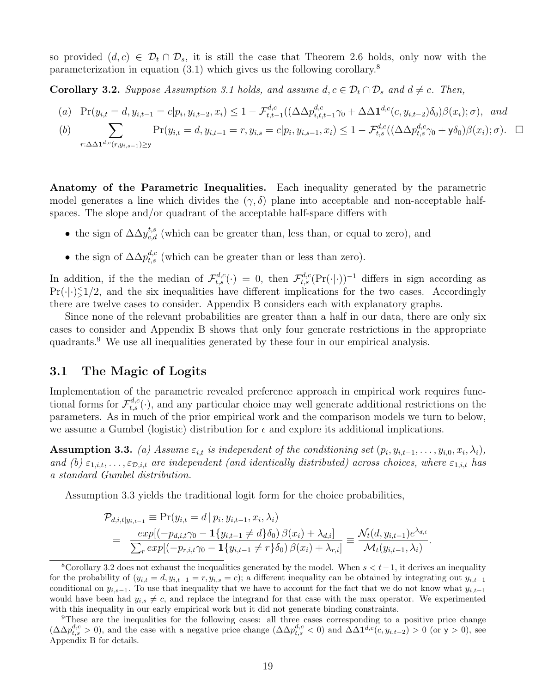so provided  $(d, c) \in \mathcal{D}_t \cap \mathcal{D}_s$ , it is still the case that Theorem 2.6 holds, only now with the parameterization in equation  $(3.1)$  which gives us the following corollary.<sup>8</sup>

**Corollary 3.2.** Suppose Assumption 3.1 holds, and assume  $d, c \in \mathcal{D}_t \cap \mathcal{D}_s$  and  $d \neq c$ . Then,

(a) 
$$
\Pr(y_{i,t} = d, y_{i,t-1} = c | p_i, y_{i,t-2}, x_i) \leq 1 - \mathcal{F}^{d,c}_{t,t-1}((\Delta \Delta p_{i,t,t-1}^{d,c} \gamma_0 + \Delta \Delta \mathbf{1}^{d,c}(c, y_{i,t-2}) \delta_0) \beta(x_i); \sigma),
$$
 and

(b) 
$$
\sum_{r:\Delta\Delta\mathbf{1}^{d,c}(r,y_{i,s-1})\geq y} \Pr(y_{i,t} = d, y_{i,t-1} = r, y_{i,s} = c|p_i, y_{i,s-1}, x_i) \leq 1 - \mathcal{F}_{t,s}^{d,c}((\Delta\Delta p_{t,s}^{d,c}\gamma_0 + \mathsf{y}\delta_0)\beta(x_i); \sigma). \quad \Box
$$

Anatomy of the Parametric Inequalities. Each inequality generated by the parametric model generates a line which divides the  $(\gamma, \delta)$  plane into acceptable and non-acceptable halfspaces. The slope and/or quadrant of the acceptable half-space differs with

- the sign of  $\Delta \Delta y_{c,d}^{t,s}$  (which can be greater than, less than, or equal to zero), and
- the sign of  $\Delta \Delta p_{t,s}^{d,c}$  (which can be greater than or less than zero).

In addition, if the the median of  $\mathcal{F}^{d,c}_{t,s}(\cdot) = 0$ , then  $\mathcal{F}^{d,c}_{t,s}(\Pr(\cdot|\cdot))^{-1}$  differs in sign according as  $Pr(\cdot|\cdot) \leq 1/2$ , and the six inequalities have different implications for the two cases. Accordingly there are twelve cases to consider. Appendix B considers each with explanatory graphs.

Since none of the relevant probabilities are greater than a half in our data, there are only six cases to consider and Appendix B shows that only four generate restrictions in the appropriate quadrants.<sup>9</sup> We use all inequalities generated by these four in our empirical analysis.

### 3.1 The Magic of Logits

Implementation of the parametric revealed preference approach in empirical work requires functional forms for  $\mathcal{F}^{d,c}_{t,s}(\cdot)$ , and any particular choice may well generate additional restrictions on the parameters. As in much of the prior empirical work and the comparison models we turn to below, we assume a Gumbel (logistic) distribution for  $\epsilon$  and explore its additional implications.

**Assumption 3.3.** (a) Assume  $\varepsilon_{i,t}$  is independent of the conditioning set  $(p_i, y_{i,t-1}, \ldots, y_{i,0}, x_i, \lambda_i)$ , and (b)  $\varepsilon_{1,i,t},\ldots,\varepsilon_{\mathcal{D},i,t}$  are independent (and identically distributed) across choices, where  $\varepsilon_{1,i,t}$  has a standard Gumbel distribution.

Assumption 3.3 yields the traditional logit form for the choice probabilities,

$$
\mathcal{P}_{d,i,t|y_{i,t-1}} \equiv \Pr(y_{i,t} = d | p_i, y_{i,t-1}, x_i, \lambda_i)
$$
\n
$$
= \frac{\exp[(-p_{d,i,t}\gamma_0 - \mathbf{1}\{y_{i,t-1} \neq d\}\delta_0) \beta(x_i) + \lambda_{d,i}]}{\sum_r \exp[(-p_{r,i,t}\gamma_0 - \mathbf{1}\{y_{i,t-1} \neq r\}\delta_0) \beta(x_i) + \lambda_{r,i}]} \equiv \frac{\mathcal{N}_t(d, y_{i,t-1})e^{\lambda_{d,i}}}{\mathcal{M}_t(y_{i,t-1}, \lambda_i)}.
$$

<sup>&</sup>lt;sup>8</sup>Corollary 3.2 does not exhaust the inequalities generated by the model. When  $s < t-1$ , it derives an inequality for the probability of  $(y_{i,t} = d, y_{i,t-1} = r, y_{i,s} = c)$ ; a different inequality can be obtained by integrating out  $y_{i,t-1}$ conditional on  $y_{i,s-1}$ . To use that inequality that we have to account for the fact that we do not know what  $y_{i,t-1}$ would have been had  $y_{i,s} \neq c$ , and replace the integrand for that case with the max operator. We experimented with this inequality in our early empirical work but it did not generate binding constraints.

<sup>&</sup>lt;sup>9</sup>These are the inequalities for the following cases: all three cases corresponding to a positive price change  $(\Delta \Delta p_{t,s}^{d,c} > 0)$ , and the case with a negative price change  $(\Delta \Delta p_{t,s}^{d,c} < 0)$  and  $\Delta \Delta \mathbf{1}^{d,c}(c, y_{i,t-2}) > 0$  (or y > 0), see Appendix B for details.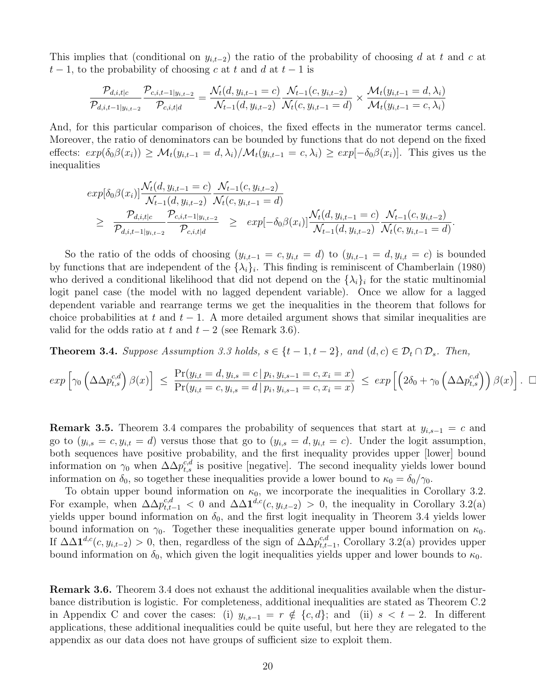This implies that (conditional on  $y_{i,t-2}$ ) the ratio of the probability of choosing d at t and c at  $t-1$ , to the probability of choosing c at t and d at  $t-1$  is

$$
\frac{\mathcal{P}_{d,i,t|c}}{\mathcal{P}_{d,i,t-1|y_{i,t-2}}}\frac{\mathcal{P}_{c,i,t-1|y_{i,t-2}}}{\mathcal{P}_{c,i,t|d}}=\frac{\mathcal{N}_t(d,y_{i,t-1}=c)}{\mathcal{N}_{t-1}(d,y_{i,t-2})}\frac{\mathcal{N}_{t-1}(c,y_{i,t-2})}{\mathcal{N}_t(c,y_{i,t-1}=d)}\times\frac{\mathcal{M}_t(y_{i,t-1}=d,\lambda_i)}{\mathcal{M}_t(y_{i,t-1}=c,\lambda_i)}
$$

And, for this particular comparison of choices, the fixed effects in the numerator terms cancel. Moreover, the ratio of denominators can be bounded by functions that do not depend on the fixed effects:  $exp(\delta_0\beta(x_i)) \geq \mathcal{M}_t(y_{i,t-1} = d, \lambda_i)/\mathcal{M}_t(y_{i,t-1} = c, \lambda_i) \geq exp[-\delta_0\beta(x_i)]$ . This gives us the inequalities

$$
exp[\delta_0 \beta(x_i)] \frac{\mathcal{N}_t(d, y_{i,t-1} = c)}{\mathcal{N}_{t-1}(d, y_{i,t-2})} \frac{\mathcal{N}_{t-1}(c, y_{i,t-2})}{\mathcal{N}_t(c, y_{i,t-1} = d)}
$$
  
\n
$$
\geq \frac{\mathcal{P}_{d,i,t|c}}{\mathcal{P}_{d,i,t-1|y_{i,t-2}}} \frac{\mathcal{P}_{c,i,t-1|y_{i,t-2}}}{\mathcal{P}_{c,i,t|d}} \geq exp[-\delta_0 \beta(x_i)] \frac{\mathcal{N}_t(d, y_{i,t-1} = c)}{\mathcal{N}_{t-1}(d, y_{i,t-2})} \frac{\mathcal{N}_{t-1}(c, y_{i,t-2})}{\mathcal{N}_t(c, y_{i,t-1} = d)}
$$

.

So the ratio of the odds of choosing  $(y_{i,t-1} = c, y_{i,t} = d)$  to  $(y_{i,t-1} = d, y_{i,t} = c)$  is bounded by functions that are independent of the  $\{\lambda_i\}_i$ . This finding is reminiscent of Chamberlain (1980) who derived a conditional likelihood that did not depend on the  $\{\lambda_i\}_i$  for the static multinomial logit panel case (the model with no lagged dependent variable). Once we allow for a lagged dependent variable and rearrange terms we get the inequalities in the theorem that follows for choice probabilities at t and  $t - 1$ . A more detailed argument shows that similar inequalities are valid for the odds ratio at t and  $t - 2$  (see Remark 3.6).

**Theorem 3.4.** Suppose Assumption 3.3 holds,  $s \in \{t-1, t-2\}$ , and  $(d, c) \in \mathcal{D}_t \cap \mathcal{D}_s$ . Then,

$$
exp\left[\gamma_0\left(\Delta\Delta p_{t,s}^{c,d}\right)\beta(x)\right] \leq \frac{\Pr(y_{i,t} = d, y_{i,s} = c \mid p_i, y_{i,s-1} = c, x_i = x)}{\Pr(y_{i,t} = c, y_{i,s} = d \mid p_i, y_{i,s-1} = c, x_i = x)} \leq exp\left[\left(2\delta_0 + \gamma_0\left(\Delta\Delta p_{t,s}^{c,d}\right)\right)\beta(x)\right].
$$

**Remark 3.5.** Theorem 3.4 compares the probability of sequences that start at  $y_{i,s-1} = c$  and go to  $(y_{i,s} = c, y_{i,t} = d)$  versus those that go to  $(y_{i,s} = d, y_{i,t} = c)$ . Under the logit assumption, both sequences have positive probability, and the first inequality provides upper [lower] bound information on  $\gamma_0$  when  $\Delta \Delta p_{t,s}^{c,d}$  is positive [negative]. The second inequality yields lower bound information on  $\delta_0$ , so together these inequalities provide a lower bound to  $\kappa_0 = \delta_0/\gamma_0$ .

To obtain upper bound information on  $\kappa_0$ , we incorporate the inequalities in Corollary 3.2. For example, when  $\Delta \Delta p_{t,t-1}^{c,d} < 0$  and  $\Delta \Delta \mathbf{1}^{d,c}(c, y_{i,t-2}) > 0$ , the inequality in Corollary 3.2(a) yields upper bound information on  $\delta_0$ , and the first logit inequality in Theorem 3.4 yields lower bound information on  $\gamma_0$ . Together these inequalities generate upper bound information on  $\kappa_0$ . If  $\Delta\Delta\mathbf{1}^{d,c}(c, y_{i,t-2}) > 0$ , then, regardless of the sign of  $\Delta\Delta p_{t,t}^{c,d}$ .  $_{t,t-1}^{c,a}$ , Corollary 3.2(a) provides upper bound information on  $\delta_0$ , which given the logit inequalities yields upper and lower bounds to  $\kappa_0$ .

Remark 3.6. Theorem 3.4 does not exhaust the additional inequalities available when the disturbance distribution is logistic. For completeness, additional inequalities are stated as Theorem C.2 in Appendix C and cover the cases: (i)  $y_{i,s-1} = r \notin \{c,d\}$ ; and (ii)  $s < t-2$ . In different applications, these additional inequalities could be quite useful, but here they are relegated to the appendix as our data does not have groups of sufficient size to exploit them.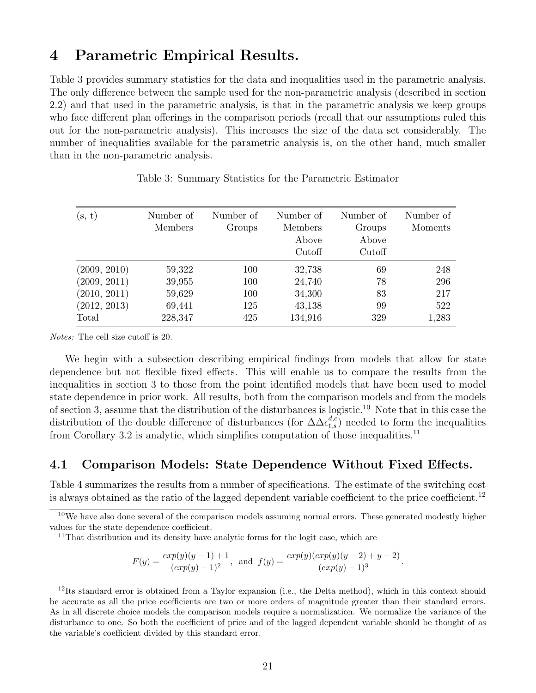## 4 Parametric Empirical Results.

Table 3 provides summary statistics for the data and inequalities used in the parametric analysis. The only difference between the sample used for the non-parametric analysis (described in section 2.2) and that used in the parametric analysis, is that in the parametric analysis we keep groups who face different plan offerings in the comparison periods (recall that our assumptions ruled this out for the non-parametric analysis). This increases the size of the data set considerably. The number of inequalities available for the parametric analysis is, on the other hand, much smaller than in the non-parametric analysis.

| (s, t)       | Number of<br>Members | Number of<br>Groups | Number of<br>Members<br>Above<br>Cutoff | Number of<br>Groups<br>Above<br>Cutoff | Number of<br>Moments |
|--------------|----------------------|---------------------|-----------------------------------------|----------------------------------------|----------------------|
| (2009, 2010) | 59,322               | 100                 | 32,738                                  | 69                                     | 248                  |
| (2009, 2011) | 39,955               | 100                 | 24,740                                  | 78                                     | 296                  |
| (2010, 2011) | 59,629               | 100                 | 34,300                                  | 83                                     | 217                  |
| (2012, 2013) | 69,441               | 125                 | 43,138                                  | 99                                     | 522                  |
| Total        | 228,347              | 425                 | 134,916                                 | 329                                    | 1,283                |

Notes: The cell size cutoff is 20.

We begin with a subsection describing empirical findings from models that allow for state dependence but not flexible fixed effects. This will enable us to compare the results from the inequalities in section 3 to those from the point identified models that have been used to model state dependence in prior work. All results, both from the comparison models and from the models of section 3, assume that the distribution of the disturbances is logistic.<sup>10</sup> Note that in this case the distribution of the double difference of disturbances (for  $\Delta\Delta \epsilon_{t,s}^{d,c}$ ) needed to form the inequalities from Corollary 3.2 is analytic, which simplifies computation of those inequalities.<sup>11</sup>

### 4.1 Comparison Models: State Dependence Without Fixed Effects.

Table 4 summarizes the results from a number of specifications. The estimate of the switching cost is always obtained as the ratio of the lagged dependent variable coefficient to the price coefficient.<sup>12</sup>

$$
F(y) = \frac{exp(y)(y-1)+1}{(exp(y)-1)^2}, \text{ and } f(y) = \frac{exp(y)(exp(y)(y-2)+y+2)}{(exp(y)-1)^3}.
$$

 $12$ Its standard error is obtained from a Taylor expansion (i.e., the Delta method), which in this context should be accurate as all the price coefficients are two or more orders of magnitude greater than their standard errors. As in all discrete choice models the comparison models require a normalization. We normalize the variance of the disturbance to one. So both the coefficient of price and of the lagged dependent variable should be thought of as the variable's coefficient divided by this standard error.

 $10$ We have also done several of the comparison models assuming normal errors. These generated modestly higher values for the state dependence coefficient.

<sup>&</sup>lt;sup>11</sup>That distribution and its density have analytic forms for the logit case, which are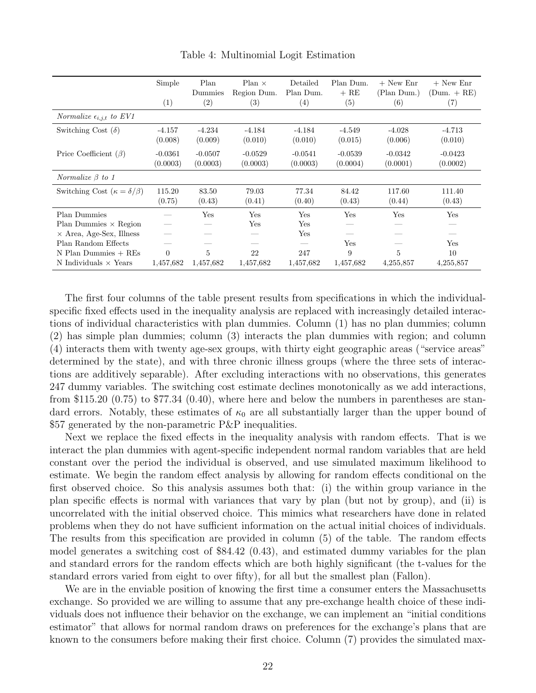|                                            | Simple    | Plan      | Plan $\times$     | Detailed          | Plan Dum. | $+$ New Enr | $+$ New Enr   |
|--------------------------------------------|-----------|-----------|-------------------|-------------------|-----------|-------------|---------------|
|                                            |           | Dummies   | Region Dum.       | Plan Dum.         | $+ RE$    | (Plan Dum.) | $(Dum. + RE)$ |
|                                            | (1)       | (2)       | $\left( 3\right)$ | $\left( 4\right)$ | (5)       | (6)         | (7)           |
| Normalize $\epsilon_{i,j,t}$ to EV1        |           |           |                   |                   |           |             |               |
| Switching Cost $(\delta)$                  | $-4.157$  | $-4.234$  | $-4.184$          | $-4.184$          | $-4.549$  | $-4.028$    | $-4.713$      |
|                                            | (0.008)   | (0.009)   | (0.010)           | (0.010)           | (0.015)   | (0.006)     | (0.010)       |
| Price Coefficient $(\beta)$                | $-0.0361$ | $-0.0507$ | $-0.0529$         | $-0.0541$         | $-0.0539$ | $-0.0342$   | $-0.0423$     |
|                                            | (0.0003)  | (0.0003)  | (0.0003)          | (0.0003)          | (0.0004)  | (0.0001)    | (0.0002)      |
| Normalize $\beta$ to 1                     |           |           |                   |                   |           |             |               |
| Switching Cost ( $\kappa = \delta/\beta$ ) | 115.20    | 83.50     | 79.03             | 77.34             | 84.42     | 117.60      | 111.40        |
|                                            | (0.75)    | (0.43)    | (0.41)            | (0.40)            | (0.43)    | (0.44)      | (0.43)        |
| <b>Plan Dummies</b>                        |           | Yes       | Yes               | Yes               | Yes       | Yes         | Yes           |
| Plan Dummies $\times$ Region               |           |           | Yes               | Yes               |           |             |               |
| $\times$ Area, Age-Sex, Illness            |           |           |                   | Yes               |           |             |               |
| Plan Random Effects                        |           |           |                   | $\frac{1}{2}$     | Yes       |             | Yes           |
| $N$ Plan Dummies + REs                     | $\Omega$  | 5         | 22                | 247               | 9         | 5           | 10            |
| N Individuals $\times$ Years               | 1,457,682 | 1,457,682 | 1,457,682         | 1,457,682         | 1,457,682 | 4,255,857   | 4,255,857     |

Table 4: Multinomial Logit Estimation

The first four columns of the table present results from specifications in which the individualspecific fixed effects used in the inequality analysis are replaced with increasingly detailed interactions of individual characteristics with plan dummies. Column (1) has no plan dummies; column (2) has simple plan dummies; column (3) interacts the plan dummies with region; and column (4) interacts them with twenty age-sex groups, with thirty eight geographic areas ("service areas" determined by the state), and with three chronic illness groups (where the three sets of interactions are additively separable). After excluding interactions with no observations, this generates 247 dummy variables. The switching cost estimate declines monotonically as we add interactions, from \$115.20 (0.75) to \$77.34 (0.40), where here and below the numbers in parentheses are standard errors. Notably, these estimates of  $\kappa_0$  are all substantially larger than the upper bound of \$57 generated by the non-parametric P&P inequalities.

Next we replace the fixed effects in the inequality analysis with random effects. That is we interact the plan dummies with agent-specific independent normal random variables that are held constant over the period the individual is observed, and use simulated maximum likelihood to estimate. We begin the random effect analysis by allowing for random effects conditional on the first observed choice. So this analysis assumes both that: (i) the within group variance in the plan specific effects is normal with variances that vary by plan (but not by group), and (ii) is uncorrelated with the initial observed choice. This mimics what researchers have done in related problems when they do not have sufficient information on the actual initial choices of individuals. The results from this specification are provided in column (5) of the table. The random effects model generates a switching cost of \$84.42 (0.43), and estimated dummy variables for the plan and standard errors for the random effects which are both highly significant (the t-values for the standard errors varied from eight to over fifty), for all but the smallest plan (Fallon).

We are in the enviable position of knowing the first time a consumer enters the Massachusetts exchange. So provided we are willing to assume that any pre-exchange health choice of these individuals does not influence their behavior on the exchange, we can implement an "initial conditions estimator" that allows for normal random draws on preferences for the exchange's plans that are known to the consumers before making their first choice. Column (7) provides the simulated max-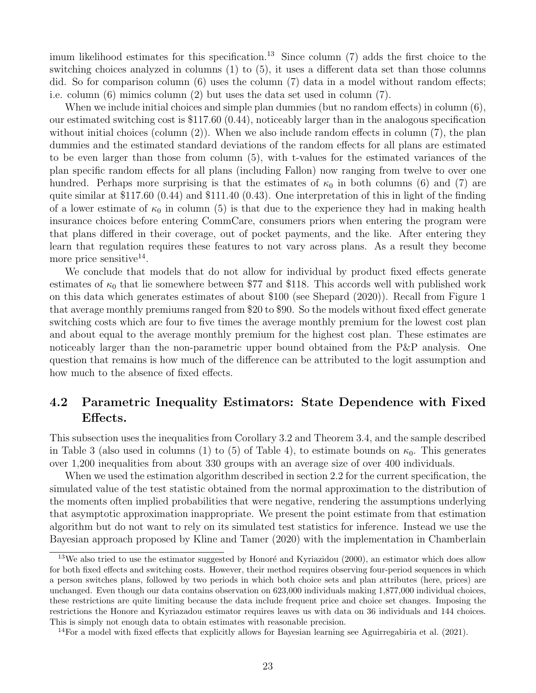imum likelihood estimates for this specification.<sup>13</sup> Since column (7) adds the first choice to the switching choices analyzed in columns (1) to (5), it uses a different data set than those columns did. So for comparison column (6) uses the column (7) data in a model without random effects; i.e. column (6) mimics column (2) but uses the data set used in column (7).

When we include initial choices and simple plan dummies (but no random effects) in column  $(6)$ , our estimated switching cost is \$117.60 (0.44), noticeably larger than in the analogous specification without initial choices (column  $(2)$ ). When we also include random effects in column  $(7)$ , the plan dummies and the estimated standard deviations of the random effects for all plans are estimated to be even larger than those from column (5), with t-values for the estimated variances of the plan specific random effects for all plans (including Fallon) now ranging from twelve to over one hundred. Perhaps more surprising is that the estimates of  $\kappa_0$  in both columns (6) and (7) are quite similar at \$117.60 (0.44) and \$111.40 (0.43). One interpretation of this in light of the finding of a lower estimate of  $\kappa_0$  in column (5) is that due to the experience they had in making health insurance choices before entering CommCare, consumers priors when entering the program were that plans differed in their coverage, out of pocket payments, and the like. After entering they learn that regulation requires these features to not vary across plans. As a result they become more price sensitive<sup>14</sup>.

We conclude that models that do not allow for individual by product fixed effects generate estimates of  $\kappa_0$  that lie somewhere between \$77 and \$118. This accords well with published work on this data which generates estimates of about \$100 (see Shepard (2020)). Recall from Figure 1 that average monthly premiums ranged from \$20 to \$90. So the models without fixed effect generate switching costs which are four to five times the average monthly premium for the lowest cost plan and about equal to the average monthly premium for the highest cost plan. These estimates are noticeably larger than the non-parametric upper bound obtained from the P&P analysis. One question that remains is how much of the difference can be attributed to the logit assumption and how much to the absence of fixed effects.

## 4.2 Parametric Inequality Estimators: State Dependence with Fixed Effects.

This subsection uses the inequalities from Corollary 3.2 and Theorem 3.4, and the sample described in Table 3 (also used in columns (1) to (5) of Table 4), to estimate bounds on  $\kappa_0$ . This generates over 1,200 inequalities from about 330 groups with an average size of over 400 individuals.

When we used the estimation algorithm described in section 2.2 for the current specification, the simulated value of the test statistic obtained from the normal approximation to the distribution of the moments often implied probabilities that were negative, rendering the assumptions underlying that asymptotic approximation inappropriate. We present the point estimate from that estimation algorithm but do not want to rely on its simulated test statistics for inference. Instead we use the Bayesian approach proposed by Kline and Tamer (2020) with the implementation in Chamberlain

 $13$ We also tried to use the estimator suggested by Honoré and Kyriazidou (2000), an estimator which does allow for both fixed effects and switching costs. However, their method requires observing four-period sequences in which a person switches plans, followed by two periods in which both choice sets and plan attributes (here, prices) are unchanged. Even though our data contains observation on 623,000 individuals making 1,877,000 individual choices, these restrictions are quite limiting because the data include frequent price and choice set changes. Imposing the restrictions the Honore and Kyriazadou estimator requires leaves us with data on 36 individuals and 144 choices. This is simply not enough data to obtain estimates with reasonable precision.

<sup>&</sup>lt;sup>14</sup>For a model with fixed effects that explicitly allows for Bayesian learning see Aguirregabiria et al. (2021).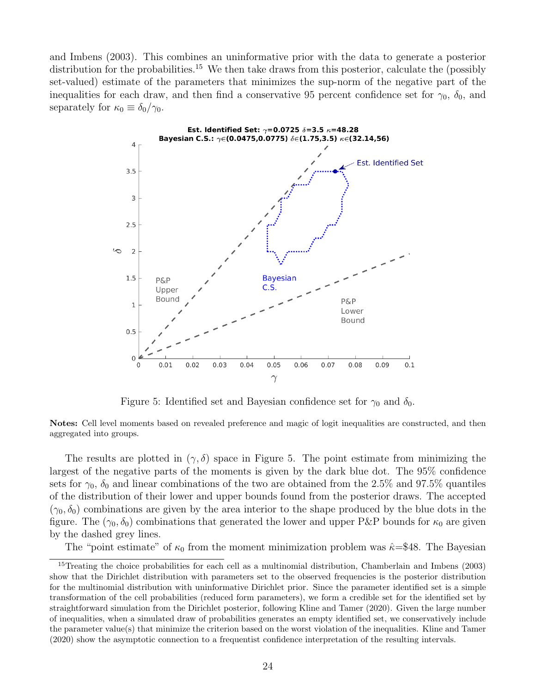and Imbens (2003). This combines an uninformative prior with the data to generate a posterior distribution for the probabilities.<sup>15</sup> We then take draws from this posterior, calculate the (possibly set-valued) estimate of the parameters that minimizes the sup-norm of the negative part of the inequalities for each draw, and then find a conservative 95 percent confidence set for  $\gamma_0$ ,  $\delta_0$ , and separately for  $\kappa_0 \equiv \delta_0 / \gamma_0$ .



Figure 5: Identified set and Bayesian confidence set for  $\gamma_0$  and  $\delta_0$ .

Notes: Cell level moments based on revealed preference and magic of logit inequalities are constructed, and then aggregated into groups.

The results are plotted in  $(\gamma, \delta)$  space in Figure 5. The point estimate from minimizing the largest of the negative parts of the moments is given by the dark blue dot. The 95% confidence sets for  $\gamma_0$ ,  $\delta_0$  and linear combinations of the two are obtained from the 2.5% and 97.5% quantiles of the distribution of their lower and upper bounds found from the posterior draws. The accepted  $(\gamma_0, \delta_0)$  combinations are given by the area interior to the shape produced by the blue dots in the figure. The  $(\gamma_0, \delta_0)$  combinations that generated the lower and upper P&P bounds for  $\kappa_0$  are given by the dashed grey lines.

The "point estimate" of  $\kappa_0$  from the moment minimization problem was  $\hat{\kappa}$ =\$48. The Bayesian

<sup>&</sup>lt;sup>15</sup>Treating the choice probabilities for each cell as a multinomial distribution, Chamberlain and Imbens (2003) show that the Dirichlet distribution with parameters set to the observed frequencies is the posterior distribution for the multinomial distribution with uninformative Dirichlet prior. Since the parameter identified set is a simple transformation of the cell probabilities (reduced form parameters), we form a credible set for the identified set by straightforward simulation from the Dirichlet posterior, following Kline and Tamer (2020). Given the large number of inequalities, when a simulated draw of probabilities generates an empty identified set, we conservatively include the parameter value(s) that minimize the criterion based on the worst violation of the inequalities. Kline and Tamer (2020) show the asymptotic connection to a frequentist confidence interpretation of the resulting intervals.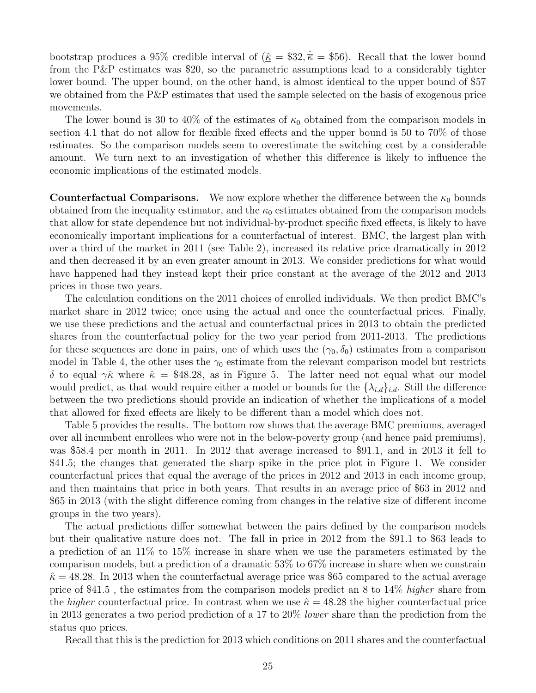bootstrap produces a 95% credible interval of  $(\hat{\kappa} = $32, \hat{\kappa} = $56)$ . Recall that the lower bound from the P&P estimates was \$20, so the parametric assumptions lead to a considerably tighter lower bound. The upper bound, on the other hand, is almost identical to the upper bound of \$57 we obtained from the P&P estimates that used the sample selected on the basis of exogenous price movements.

The lower bound is 30 to 40% of the estimates of  $\kappa_0$  obtained from the comparison models in section 4.1 that do not allow for flexible fixed effects and the upper bound is 50 to 70% of those estimates. So the comparison models seem to overestimate the switching cost by a considerable amount. We turn next to an investigation of whether this difference is likely to influence the economic implications of the estimated models.

**Counterfactual Comparisons.** We now explore whether the difference between the  $\kappa_0$  bounds obtained from the inequality estimator, and the  $\kappa_0$  estimates obtained from the comparison models that allow for state dependence but not individual-by-product specific fixed effects, is likely to have economically important implications for a counterfactual of interest. BMC, the largest plan with over a third of the market in 2011 (see Table 2), increased its relative price dramatically in 2012 and then decreased it by an even greater amount in 2013. We consider predictions for what would have happened had they instead kept their price constant at the average of the 2012 and 2013 prices in those two years.

The calculation conditions on the 2011 choices of enrolled individuals. We then predict BMC's market share in 2012 twice; once using the actual and once the counterfactual prices. Finally, we use these predictions and the actual and counterfactual prices in 2013 to obtain the predicted shares from the counterfactual policy for the two year period from 2011-2013. The predictions for these sequences are done in pairs, one of which uses the  $(\gamma_0, \delta_0)$  estimates from a comparison model in Table 4, the other uses the  $\gamma_0$  estimate from the relevant comparison model but restricts δ to equal  $\gamma \hat{\kappa}$  where  $\hat{\kappa} =$  \$48.28, as in Figure 5. The latter need not equal what our model would predict, as that would require either a model or bounds for the  $\{\lambda_{i,d}\}_{i,d}$ . Still the difference between the two predictions should provide an indication of whether the implications of a model that allowed for fixed effects are likely to be different than a model which does not.

Table 5 provides the results. The bottom row shows that the average BMC premiums, averaged over all incumbent enrollees who were not in the below-poverty group (and hence paid premiums), was \$58.4 per month in 2011. In 2012 that average increased to \$91.1, and in 2013 it fell to \$41.5; the changes that generated the sharp spike in the price plot in Figure 1. We consider counterfactual prices that equal the average of the prices in 2012 and 2013 in each income group, and then maintains that price in both years. That results in an average price of \$63 in 2012 and \$65 in 2013 (with the slight difference coming from changes in the relative size of different income groups in the two years).

The actual predictions differ somewhat between the pairs defined by the comparison models but their qualitative nature does not. The fall in price in 2012 from the \$91.1 to \$63 leads to a prediction of an 11% to 15% increase in share when we use the parameters estimated by the comparison models, but a prediction of a dramatic 53% to 67% increase in share when we constrain  $\hat{\kappa} = 48.28$ . In 2013 when the counterfactual average price was \$65 compared to the actual average price of \$41.5 , the estimates from the comparison models predict an 8 to 14% higher share from the *higher* counterfactual price. In contrast when we use  $\hat{\kappa} = 48.28$  the higher counterfactual price in 2013 generates a two period prediction of a 17 to 20% lower share than the prediction from the status quo prices.

Recall that this is the prediction for 2013 which conditions on 2011 shares and the counterfactual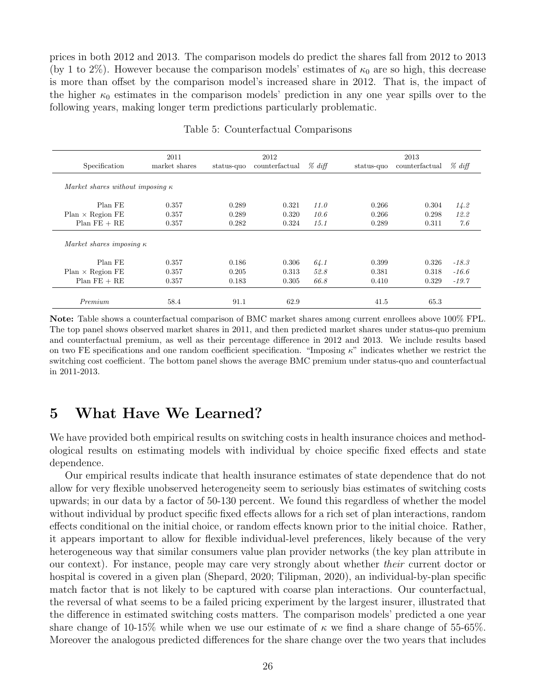prices in both 2012 and 2013. The comparison models do predict the shares fall from 2012 to 2013 (by 1 to 2%). However because the comparison models' estimates of  $\kappa_0$  are so high, this decrease is more than offset by the comparison model's increased share in 2012. That is, the impact of the higher  $\kappa_0$  estimates in the comparison models' prediction in any one year spills over to the following years, making longer term predictions particularly problematic.

| Specification                           | 2011<br>market shares | status-quo | 2012<br>counterfactual | $\%$ diff | status-quo | 2013<br>counterfactual | $\%$ diff |  |  |
|-----------------------------------------|-----------------------|------------|------------------------|-----------|------------|------------------------|-----------|--|--|
| Market shares without imposing $\kappa$ |                       |            |                        |           |            |                        |           |  |  |
| Plan FE                                 | 0.357                 | 0.289      | 0.321                  | 11.0      | 0.266      | 0.304                  | 14.2      |  |  |
| $Plan \times Region FE$                 | 0.357                 | 0.289      | 0.320                  | 10.6      | 0.266      | 0.298                  | 12.2      |  |  |
| $Plan FE + RE$                          | 0.357                 | 0.282      | 0.324                  | 15.1      | 0.289      | 0.311                  | 7.6       |  |  |
| Market shares imposing $\kappa$         |                       |            |                        |           |            |                        |           |  |  |
| Plan FE                                 | 0.357                 | 0.186      | 0.306                  | 64.1      | 0.399      | 0.326                  | $-18.3$   |  |  |
| $Plan \times Region FE$                 | 0.357                 | 0.205      | 0.313                  | 52.8      | 0.381      | 0.318                  | $-16.6$   |  |  |
| $Plan FE + RE$                          | 0.357                 | 0.183      | 0.305                  | 66.8      | 0.410      | 0.329                  | $-19.7$   |  |  |
| Premium                                 | 58.4                  | 91.1       | 62.9                   |           | 41.5       | 65.3                   |           |  |  |

#### Table 5: Counterfactual Comparisons

Note: Table shows a counterfactual comparison of BMC market shares among current enrollees above 100% FPL. The top panel shows observed market shares in 2011, and then predicted market shares under status-quo premium and counterfactual premium, as well as their percentage difference in 2012 and 2013. We include results based on two FE specifications and one random coefficient specification. "Imposing  $\kappa$ " indicates whether we restrict the switching cost coefficient. The bottom panel shows the average BMC premium under status-quo and counterfactual in 2011-2013.

## 5 What Have We Learned?

We have provided both empirical results on switching costs in health insurance choices and methodological results on estimating models with individual by choice specific fixed effects and state dependence.

Our empirical results indicate that health insurance estimates of state dependence that do not allow for very flexible unobserved heterogeneity seem to seriously bias estimates of switching costs upwards; in our data by a factor of 50-130 percent. We found this regardless of whether the model without individual by product specific fixed effects allows for a rich set of plan interactions, random effects conditional on the initial choice, or random effects known prior to the initial choice. Rather, it appears important to allow for flexible individual-level preferences, likely because of the very heterogeneous way that similar consumers value plan provider networks (the key plan attribute in our context). For instance, people may care very strongly about whether their current doctor or hospital is covered in a given plan (Shepard, 2020; Tilipman, 2020), an individual-by-plan specific match factor that is not likely to be captured with coarse plan interactions. Our counterfactual, the reversal of what seems to be a failed pricing experiment by the largest insurer, illustrated that the difference in estimated switching costs matters. The comparison models' predicted a one year share change of 10-15% while when we use our estimate of  $\kappa$  we find a share change of 55-65%. Moreover the analogous predicted differences for the share change over the two years that includes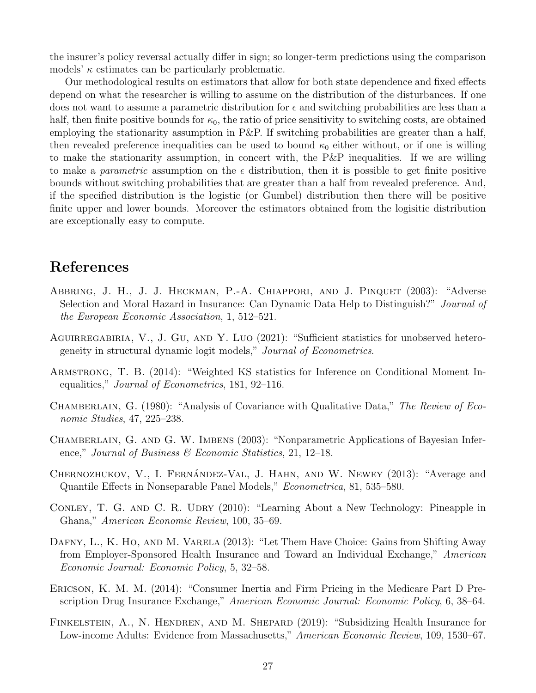the insurer's policy reversal actually differ in sign; so longer-term predictions using the comparison models'  $\kappa$  estimates can be particularly problematic.

Our methodological results on estimators that allow for both state dependence and fixed effects depend on what the researcher is willing to assume on the distribution of the disturbances. If one does not want to assume a parametric distribution for  $\epsilon$  and switching probabilities are less than a half, then finite positive bounds for  $\kappa_0$ , the ratio of price sensitivity to switching costs, are obtained employing the stationarity assumption in P&P. If switching probabilities are greater than a half, then revealed preference inequalities can be used to bound  $\kappa_0$  either without, or if one is willing to make the stationarity assumption, in concert with, the P&P inequalities. If we are willing to make a *parametric* assumption on the  $\epsilon$  distribution, then it is possible to get finite positive bounds without switching probabilities that are greater than a half from revealed preference. And, if the specified distribution is the logistic (or Gumbel) distribution then there will be positive finite upper and lower bounds. Moreover the estimators obtained from the logisitic distribution are exceptionally easy to compute.

## References

- Abbring, J. H., J. J. Heckman, P.-A. Chiappori, and J. Pinquet (2003): "Adverse Selection and Moral Hazard in Insurance: Can Dynamic Data Help to Distinguish?" Journal of the European Economic Association, 1, 512–521.
- AGUIRREGABIRIA, V., J. GU, AND Y. LUO (2021): "Sufficient statistics for unobserved heterogeneity in structural dynamic logit models," Journal of Econometrics.
- Armstrong, T. B. (2014): "Weighted KS statistics for Inference on Conditional Moment Inequalities," Journal of Econometrics, 181, 92–116.
- Chamberlain, G. (1980): "Analysis of Covariance with Qualitative Data," The Review of Economic Studies, 47, 225–238.
- Chamberlain, G. and G. W. Imbens (2003): "Nonparametric Applications of Bayesian Inference," Journal of Business & Economic Statistics, 21, 12–18.
- CHERNOZHUKOV, V., I. FERNÁNDEZ-VAL, J. HAHN, AND W. NEWEY (2013): "Average and Quantile Effects in Nonseparable Panel Models," Econometrica, 81, 535–580.
- CONLEY, T. G. AND C. R. UDRY (2010): "Learning About a New Technology: Pineapple in Ghana," American Economic Review, 100, 35–69.
- DAFNY, L., K. HO, AND M. VARELA (2013): "Let Them Have Choice: Gains from Shifting Away from Employer-Sponsored Health Insurance and Toward an Individual Exchange," American Economic Journal: Economic Policy, 5, 32–58.
- Ericson, K. M. M. (2014): "Consumer Inertia and Firm Pricing in the Medicare Part D Prescription Drug Insurance Exchange," American Economic Journal: Economic Policy, 6, 38–64.
- Finkelstein, A., N. Hendren, and M. Shepard (2019): "Subsidizing Health Insurance for Low-income Adults: Evidence from Massachusetts," American Economic Review, 109, 1530–67.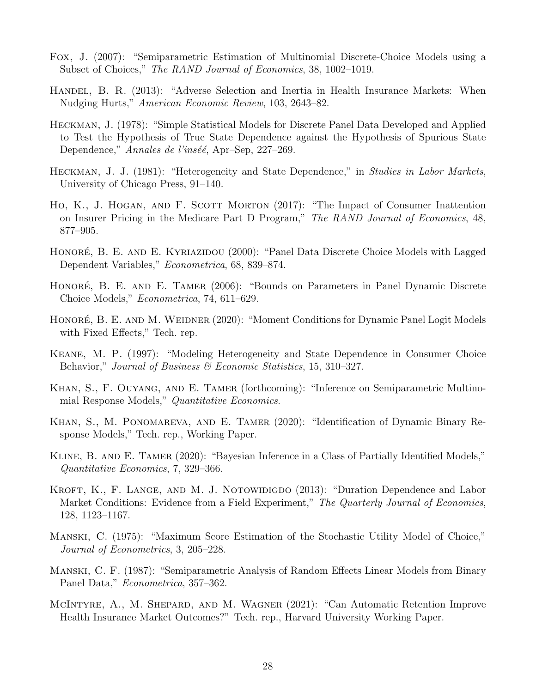- Fox, J. (2007): "Semiparametric Estimation of Multinomial Discrete-Choice Models using a Subset of Choices," The RAND Journal of Economics, 38, 1002–1019.
- HANDEL, B. R. (2013): "Adverse Selection and Inertia in Health Insurance Markets: When Nudging Hurts," American Economic Review, 103, 2643–82.
- Heckman, J. (1978): "Simple Statistical Models for Discrete Panel Data Developed and Applied to Test the Hypothesis of True State Dependence against the Hypothesis of Spurious State Dependence," Annales de l'inséé, Apr–Sep, 227–269.
- HECKMAN, J. J. (1981): "Heterogeneity and State Dependence," in Studies in Labor Markets, University of Chicago Press, 91–140.
- Ho, K., J. Hogan, and F. Scott Morton (2017): "The Impact of Consumer Inattention on Insurer Pricing in the Medicare Part D Program," The RAND Journal of Economics, 48, 877–905.
- HONORÉ, B. E. AND E. KYRIAZIDOU (2000): "Panel Data Discrete Choice Models with Lagged Dependent Variables," Econometrica, 68, 839–874.
- HONORÉ, B. E. AND E. TAMER (2006): "Bounds on Parameters in Panel Dynamic Discrete Choice Models," Econometrica, 74, 611–629.
- HONORÉ, B. E. AND M. WEIDNER (2020): "Moment Conditions for Dynamic Panel Logit Models with Fixed Effects," Tech. rep.
- Keane, M. P. (1997): "Modeling Heterogeneity and State Dependence in Consumer Choice Behavior," Journal of Business & Economic Statistics, 15, 310–327.
- Khan, S., F. Ouyang, and E. Tamer (forthcoming): "Inference on Semiparametric Multinomial Response Models," Quantitative Economics.
- KHAN, S., M. PONOMAREVA, AND E. TAMER (2020): "Identification of Dynamic Binary Response Models," Tech. rep., Working Paper.
- Kline, B. and E. Tamer (2020): "Bayesian Inference in a Class of Partially Identified Models," Quantitative Economics, 7, 329–366.
- KROFT, K., F. LANGE, AND M. J. NOTOWIDIGDO (2013): "Duration Dependence and Labor Market Conditions: Evidence from a Field Experiment," The Quarterly Journal of Economics, 128, 1123–1167.
- Manski, C. (1975): "Maximum Score Estimation of the Stochastic Utility Model of Choice," Journal of Econometrics, 3, 205–228.
- Manski, C. F. (1987): "Semiparametric Analysis of Random Effects Linear Models from Binary Panel Data," Econometrica, 357–362.
- McIntyre, A., M. Shepard, and M. Wagner (2021): "Can Automatic Retention Improve Health Insurance Market Outcomes?" Tech. rep., Harvard University Working Paper.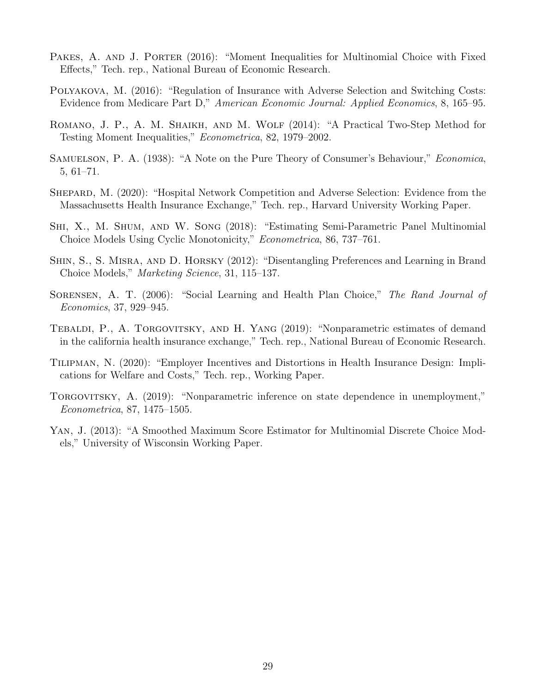- PAKES, A. AND J. PORTER (2016): "Moment Inequalities for Multinomial Choice with Fixed Effects," Tech. rep., National Bureau of Economic Research.
- Polyakova, M. (2016): "Regulation of Insurance with Adverse Selection and Switching Costs: Evidence from Medicare Part D," American Economic Journal: Applied Economics, 8, 165–95.
- ROMANO, J. P., A. M. SHAIKH, AND M. WOLF (2014): "A Practical Two-Step Method for Testing Moment Inequalities," Econometrica, 82, 1979–2002.
- SAMUELSON, P. A. (1938): "A Note on the Pure Theory of Consumer's Behaviour," Economica, 5, 61–71.
- SHEPARD, M. (2020): "Hospital Network Competition and Adverse Selection: Evidence from the Massachusetts Health Insurance Exchange," Tech. rep., Harvard University Working Paper.
- Shi, X., M. Shum, and W. Song (2018): "Estimating Semi-Parametric Panel Multinomial Choice Models Using Cyclic Monotonicity," Econometrica, 86, 737–761.
- Shin, S., S. Misra, and D. Horsky (2012): "Disentangling Preferences and Learning in Brand Choice Models," Marketing Science, 31, 115–137.
- SORENSEN, A. T. (2006): "Social Learning and Health Plan Choice," The Rand Journal of Economics, 37, 929–945.
- TEBALDI, P., A. TORGOVITSKY, AND H. YANG (2019): "Nonparametric estimates of demand in the california health insurance exchange," Tech. rep., National Bureau of Economic Research.
- Tilipman, N. (2020): "Employer Incentives and Distortions in Health Insurance Design: Implications for Welfare and Costs," Tech. rep., Working Paper.
- TORGOVITSKY, A. (2019): "Nonparametric inference on state dependence in unemployment," Econometrica, 87, 1475–1505.
- Yan, J. (2013): "A Smoothed Maximum Score Estimator for Multinomial Discrete Choice Models," University of Wisconsin Working Paper.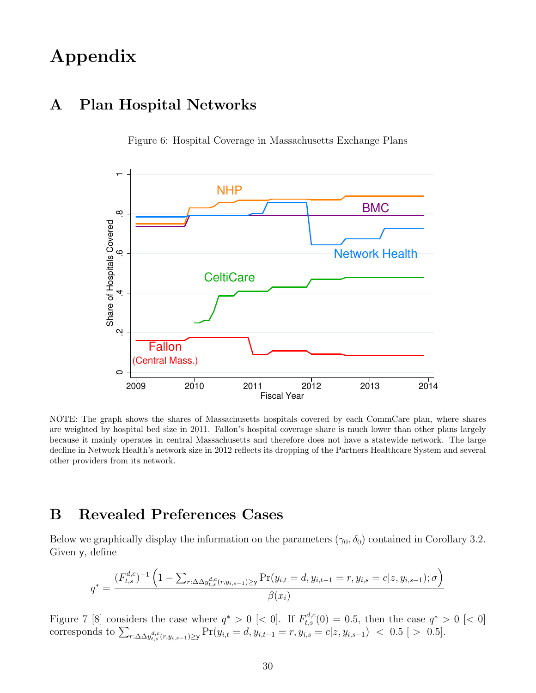# Appendix

## A Plan Hospital Networks



Figure 6: Hospital Coverage in Massachusetts Exchange Plans

NOTE: The graph shows the shares of Massachusetts hospitals covered by each CommCare plan, where shares are weighted by hospital bed size in 2011. Fallon's hospital coverage share is much lower than other plans largely because it mainly operates in central Massachusetts and therefore does not have a statewide network. The large decline in Network Health's network size in 2012 reflects its dropping of the Partners Healthcare System and several other providers from its network.

## B Revealed Preferences Cases

Below we graphically display the information on the parameters  $(\gamma_0, \delta_0)$  contained in Corollary 3.2. Given y, define

$$
q^* = \frac{(F_{t,s}^{d,c})^{-1} \left(1 - \sum_{r:\Delta \Delta y_{t,s}^{d,c}(r,y_{i,s-1}) \ge y} \Pr(y_{i,t} = d, y_{i,t-1} = r, y_{i,s} = c | z, y_{i,s-1}); \sigma\right)}{\beta(x_i)}
$$

Figure 7 [8] considers the case where  $q^* > 0$  [< 0]. If  $F_{t,s}^{d,c}(0) = 0.5$ , then the case  $q^* > 0$  [< 0] corresponds to  $\sum_{r:\Delta\Delta y_{t,s}^{d,c}(r,y_{i,s-1})\geq y} \Pr(y_{i,t}=d, y_{i,t-1}=r, y_{i,s}=c|z, y_{i,s-1})$  < 0.5 [> 0.5].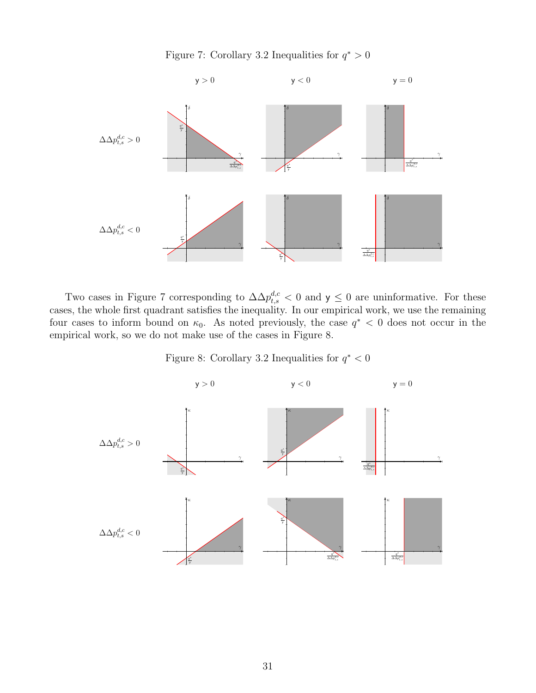Figure 7: Corollary 3.2 Inequalities for  $q^* > 0$ 



Two cases in Figure 7 corresponding to  $\Delta \Delta p_{t,s}^{d,c} < 0$  and  $y \leq 0$  are uninformative. For these cases, the whole first quadrant satisfies the inequality. In our empirical work, we use the remaining four cases to inform bound on  $\kappa_0$ . As noted previously, the case  $q^* < 0$  does not occur in the empirical work, so we do not make use of the cases in Figure 8.

Figure 8: Corollary 3.2 Inequalities for  $q^* < 0$ 

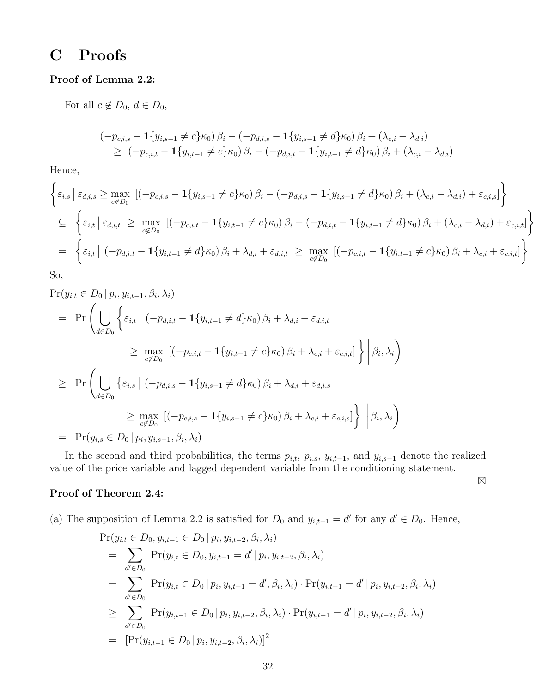## C Proofs

### Proof of Lemma 2.2:

For all  $c \notin D_0$ ,  $d \in D_0$ ,

$$
\begin{aligned} & \left(-p_{c,i,s} - \mathbf{1}\{y_{i,s-1} \neq c\} \kappa_0\right) \beta_i - \left(-p_{d,i,s} - \mathbf{1}\{y_{i,s-1} \neq d\} \kappa_0\right) \beta_i + \left(\lambda_{c,i} - \lambda_{d,i}\right) \\ &\geq \left(-p_{c,i,t} - \mathbf{1}\{y_{i,t-1} \neq c\} \kappa_0\right) \beta_i - \left(-p_{d,i,t} - \mathbf{1}\{y_{i,t-1} \neq d\} \kappa_0\right) \beta_i + \left(\lambda_{c,i} - \lambda_{d,i}\right) \end{aligned}
$$

Hence,

$$
\left\{\varepsilon_{i,s} \mid \varepsilon_{d,i,s} \ge \max_{c \notin D_0} \left[ (-p_{c,i,s} - \mathbf{1}\{y_{i,s-1} \neq c\} \kappa_0) \beta_i - (-p_{d,i,s} - \mathbf{1}\{y_{i,s-1} \neq d\} \kappa_0) \beta_i + (\lambda_{c,i} - \lambda_{d,i}) + \varepsilon_{c,i,s} \right] \right\}
$$
\n
$$
\subseteq \left\{\varepsilon_{i,t} \mid \varepsilon_{d,i,t} \ge \max_{c \notin D_0} \left[ (-p_{c,i,t} - \mathbf{1}\{y_{i,t-1} \neq c\} \kappa_0) \beta_i - (-p_{d,i,t} - \mathbf{1}\{y_{i,t-1} \neq d\} \kappa_0) \beta_i + (\lambda_{c,i} - \lambda_{d,i}) + \varepsilon_{c,i,t} \right] \right\}
$$
\n
$$
= \left\{\varepsilon_{i,t} \mid (-p_{d,i,t} - \mathbf{1}\{y_{i,t-1} \neq d\} \kappa_0) \beta_i + \lambda_{d,i} + \varepsilon_{d,i,t} \ge \max_{c \notin D_0} \left[ (-p_{c,i,t} - \mathbf{1}\{y_{i,t-1} \neq c\} \kappa_0) \beta_i + \lambda_{c,i} + \varepsilon_{c,i,t} \right] \right\}
$$

So,

$$
\Pr(y_{i,t} \in D_0 | p_i, y_{i,t-1}, \beta_i, \lambda_i)
$$
\n= 
$$
\Pr \left( \bigcup_{d \in D_0} \left\{ \varepsilon_{i,t} | (-p_{d,i,t} - 1\{y_{i,t-1} \neq d\} \kappa_0) \beta_i + \lambda_{d,i} + \varepsilon_{d,i,t} \right\}
$$
\n
$$
\geq \max_{c \notin D_0} \left[ (-p_{c,i,t} - 1\{y_{i,t-1} \neq c\} \kappa_0) \beta_i + \lambda_{c,i} + \varepsilon_{c,i,t} \right] \right\} \Big| \beta_i, \lambda_i \right)
$$
\n
$$
\geq \Pr \left( \bigcup_{d \in D_0} \left\{ \varepsilon_{i,s} | (-p_{d,i,s} - 1\{y_{i,s-1} \neq d\} \kappa_0) \beta_i + \lambda_{d,i} + \varepsilon_{d,i,s} \right\}
$$
\n
$$
\geq \max_{c \notin D_0} \left[ (-p_{c,i,s} - 1\{y_{i,s-1} \neq c\} \kappa_0) \beta_i + \lambda_{c,i} + \varepsilon_{c,i,s} \right] \right\} \Big| \beta_i, \lambda_i \right)
$$
\n= 
$$
\Pr(y_{i,s} \in D_0 | p_i, y_{i,s-1}, \beta_i, \lambda_i)
$$

In the second and third probabilities, the terms  $p_{i,t}$ ,  $p_{i,s}$ ,  $y_{i,t-1}$ , and  $y_{i,s-1}$  denote the realized value of the price variable and lagged dependent variable from the conditioning statement.

 $\boxtimes$ 

### Proof of Theorem 2.4:

(a) The supposition of Lemma 2.2 is satisfied for  $D_0$  and  $y_{i,t-1} = d'$  for any  $d' \in D_0$ . Hence,

$$
\Pr(y_{i,t} \in D_0, y_{i,t-1} \in D_0 | p_i, y_{i,t-2}, \beta_i, \lambda_i)
$$
\n
$$
= \sum_{d' \in D_0} \Pr(y_{i,t} \in D_0, y_{i,t-1} = d' | p_i, y_{i,t-2}, \beta_i, \lambda_i)
$$
\n
$$
= \sum_{d' \in D_0} \Pr(y_{i,t} \in D_0 | p_i, y_{i,t-1} = d', \beta_i, \lambda_i) \cdot \Pr(y_{i,t-1} = d' | p_i, y_{i,t-2}, \beta_i, \lambda_i)
$$
\n
$$
\geq \sum_{d' \in D_0} \Pr(y_{i,t-1} \in D_0 | p_i, y_{i,t-2}, \beta_i, \lambda_i) \cdot \Pr(y_{i,t-1} = d' | p_i, y_{i,t-2}, \beta_i, \lambda_i)
$$
\n
$$
= [\Pr(y_{i,t-1} \in D_0 | p_i, y_{i,t-2}, \beta_i, \lambda_i)]^2
$$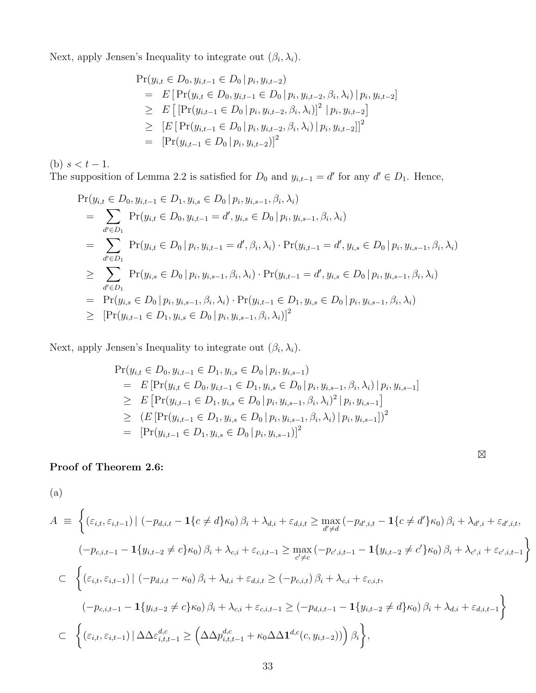Next, apply Jensen's Inequality to integrate out  $(\beta_i, \lambda_i)$ .

$$
\Pr(y_{i,t} \in D_0, y_{i,t-1} \in D_0 | p_i, y_{i,t-2})
$$
\n
$$
= E[\Pr(y_{i,t} \in D_0, y_{i,t-1} \in D_0 | p_i, y_{i,t-2}, \beta_i, \lambda_i) | p_i, y_{i,t-2}]
$$
\n
$$
\geq E[\left[\Pr(y_{i,t-1} \in D_0 | p_i, y_{i,t-2}, \beta_i, \lambda_i)\right]^2 | p_i, y_{i,t-2}]
$$
\n
$$
\geq [E[\Pr(y_{i,t-1} \in D_0 | p_i, y_{i,t-2}, \beta_i, \lambda_i) | p_i, y_{i,t-2}]]^2
$$
\n
$$
= [\Pr(y_{i,t-1} \in D_0 | p_i, y_{i,t-2})]^2
$$

(b)  $s < t - 1$ .

The supposition of Lemma 2.2 is satisfied for  $D_0$  and  $y_{i,t-1} = d'$  for any  $d' \in D_1$ . Hence,

$$
\Pr(y_{i,t} \in D_0, y_{i,t-1} \in D_1, y_{i,s} \in D_0 | p_i, y_{i,s-1}, \beta_i, \lambda_i)
$$
\n
$$
= \sum_{d' \in D_1} \Pr(y_{i,t} \in D_0, y_{i,t-1} = d', y_{i,s} \in D_0 | p_i, y_{i,s-1}, \beta_i, \lambda_i)
$$
\n
$$
= \sum_{d' \in D_1} \Pr(y_{i,t} \in D_0 | p_i, y_{i,t-1} = d', \beta_i, \lambda_i) \cdot \Pr(y_{i,t-1} = d', y_{i,s} \in D_0 | p_i, y_{i,s-1}, \beta_i, \lambda_i)
$$
\n
$$
\geq \sum_{d' \in D_1} \Pr(y_{i,s} \in D_0 | p_i, y_{i,s-1}, \beta_i, \lambda_i) \cdot \Pr(y_{i,t-1} = d', y_{i,s} \in D_0 | p_i, y_{i,s-1}, \beta_i, \lambda_i)
$$
\n
$$
= \Pr(y_{i,s} \in D_0 | p_i, y_{i,s-1}, \beta_i, \lambda_i) \cdot \Pr(y_{i,t-1} \in D_1, y_{i,s} \in D_0 | p_i, y_{i,s-1}, \beta_i, \lambda_i)
$$
\n
$$
\geq [\Pr(y_{i,t-1} \in D_1, y_{i,s} \in D_0 | p_i, y_{i,s-1}, \beta_i, \lambda_i)]^2
$$

Next, apply Jensen's Inequality to integrate out  $(\beta_i, \lambda_i)$ .

$$
\Pr(y_{i,t} \in D_0, y_{i,t-1} \in D_1, y_{i,s} \in D_0 | p_i, y_{i,s-1})
$$
\n
$$
= E[\Pr(y_{i,t} \in D_0, y_{i,t-1} \in D_1, y_{i,s} \in D_0 | p_i, y_{i,s-1}, \beta_i, \lambda_i) | p_i, y_{i,s-1}]
$$
\n
$$
\geq E[\Pr(y_{i,t-1} \in D_1, y_{i,s} \in D_0 | p_i, y_{i,s-1}, \beta_i, \lambda_i)^2 | p_i, y_{i,s-1}]
$$
\n
$$
\geq (E[\Pr(y_{i,t-1} \in D_1, y_{i,s} \in D_0 | p_i, y_{i,s-1}, \beta_i, \lambda_i) | p_i, y_{i,s-1}])^2
$$
\n
$$
= [\Pr(y_{i,t-1} \in D_1, y_{i,s} \in D_0 | p_i, y_{i,s-1})]^2
$$

### Proof of Theorem 2.6:

(a)

$$
A = \left\{ (\varepsilon_{i,t}, \varepsilon_{i,t-1}) \mid (-p_{d,i,t} - 1\{c \neq d\} \kappa_0) \beta_i + \lambda_{d,i} + \varepsilon_{d,i,t} \ge \max_{d' \neq d} (-p_{d',i,t} - 1\{c \neq d'\} \kappa_0) \beta_i + \lambda_{d',i} + \varepsilon_{d',i,t},
$$
  

$$
(-p_{c,i,t-1} - 1\{y_{i,t-2} \neq c\} \kappa_0) \beta_i + \lambda_{c,i} + \varepsilon_{c,i,t-1} \ge \max_{c' \neq c} (-p_{c',i,t-1} - 1\{y_{i,t-2} \neq c'\} \kappa_0) \beta_i + \lambda_{c',i} + \varepsilon_{c',i,t-1} \right\}
$$
  

$$
\subset \left\{ (\varepsilon_{i,t}, \varepsilon_{i,t-1}) \mid (-p_{d,i,t} - \kappa_0) \beta_i + \lambda_{d,i} + \varepsilon_{d,i,t} \ge (-p_{c,i,t}) \beta_i + \lambda_{c,i} + \varepsilon_{c,i,t},
$$
  

$$
(-p_{c,i,t-1} - 1\{y_{i,t-2} \neq c\} \kappa_0) \beta_i + \lambda_{c,i} + \varepsilon_{c,i,t-1} \ge (-p_{d,i,t-1} - 1\{y_{i,t-2} \neq d\} \kappa_0) \beta_i + \lambda_{d,i} + \varepsilon_{d,i,t-1} \right\}
$$
  

$$
\subset \left\{ (\varepsilon_{i,t}, \varepsilon_{i,t-1}) \mid \Delta \Delta \varepsilon_{i,t,t-1}^{d,c} \ge \left( \Delta \Delta p_{i,t,t-1}^{d,c} + \kappa_0 \Delta \Delta 1^{d,c}(c, y_{i,t-2})) \right) \beta_i \right\},
$$

 $\boxtimes$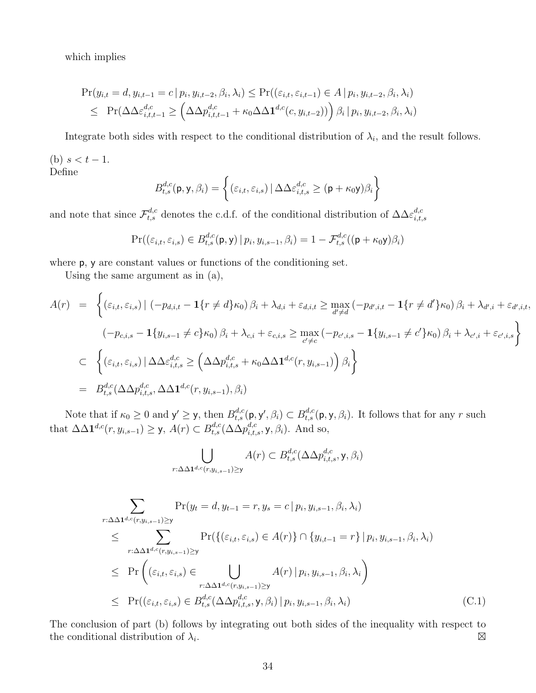which implies

$$
\Pr(y_{i,t} = d, y_{i,t-1} = c | p_i, y_{i,t-2}, \beta_i, \lambda_i) \le \Pr((\varepsilon_{i,t}, \varepsilon_{i,t-1}) \in A | p_i, y_{i,t-2}, \beta_i, \lambda_i) \le \Pr(\Delta \Delta \varepsilon_{i,t,t-1}^{d,c} \ge (\Delta \Delta p_{i,t,t-1}^{d,c} + \kappa_0 \Delta \Delta \mathbf{1}^{d,c}(c, y_{i,t-2})) \beta_i | p_i, y_{i,t-2}, \beta_i, \lambda_i)
$$

Integrate both sides with respect to the conditional distribution of  $\lambda_i$ , and the result follows.

(b)  $s < t - 1$ . Define

$$
B_{t,s}^{d,c}(\mathsf{p},\mathsf{y},\beta_i) = \left\{ (\varepsilon_{i,t},\varepsilon_{i,s}) \, | \, \Delta \Delta \varepsilon_{i,t,s}^{d,c} \geq (\mathsf{p} + \kappa_0 \mathsf{y}) \beta_i \right\}
$$

and note that since  $\mathcal{F}^{d,c}_{t,s}$  denotes the c.d.f. of the conditional distribution of  $\Delta\Delta\varepsilon_{i,t,s}^{d,c}$  $_{i,t,s}$ 

$$
\Pr((\varepsilon_{i,t},\varepsilon_{i,s})\in B_{t,s}^{d,c}(\mathsf{p},\mathsf{y})\,|\,p_i,y_{i,s-1},\beta_i)=1-\mathcal{F}_{t,s}^{d,c}((\mathsf{p}+\kappa_0\mathsf{y})\beta_i)
$$

where  $p$ , y are constant values or functions of the conditioning set.

Using the same argument as in (a),

$$
A(r) = \left\{ (\varepsilon_{i,t}, \varepsilon_{i,s}) | (-p_{d,i,t} - \mathbf{1}\{r \neq d\} \kappa_0) \beta_i + \lambda_{d,i} + \varepsilon_{d,i,t} \ge \max_{d' \neq d} (-p_{d',i,t} - \mathbf{1}\{r \neq d'\} \kappa_0) \beta_i + \lambda_{d',i} + \varepsilon_{d',i,t},
$$
  

$$
(-p_{c,i,s} - \mathbf{1}\{y_{i,s-1} \neq c\} \kappa_0) \beta_i + \lambda_{c,i} + \varepsilon_{c,i,s} \ge \max_{c' \neq c} (-p_{c',i,s} - \mathbf{1}\{y_{i,s-1} \neq c'\} \kappa_0) \beta_i + \lambda_{c',i} + \varepsilon_{c',i,s} \right\}
$$
  

$$
\subset \left\{ (\varepsilon_{i,t}, \varepsilon_{i,s}) | \Delta \Delta \varepsilon_{i,t,s}^{d,c} \ge \left( \Delta \Delta p_{i,t,s}^{d,c} + \kappa_0 \Delta \Delta \mathbf{1}^{d,c}(r, y_{i,s-1}) \right) \beta_i \right\}
$$
  

$$
= B_{t,s}^{d,c} (\Delta \Delta p_{i,t,s}^{d,c}, \Delta \Delta \mathbf{1}^{d,c}(r, y_{i,s-1}), \beta_i)
$$

Note that if  $\kappa_0 \geq 0$  and  $y' \geq y$ , then  $B_{t,s}^{d,c}(p, y', \beta_i) \subset B_{t,s}^{d,c}(p, y, \beta_i)$ . It follows that for any r such that  $\Delta \Delta \mathbf{1}^{d,c}(r, y_{i,s-1}) \geq \mathsf{y}, A(r) \subset B_{t,s}^{d,c}(\Delta \Delta p_{i,t,s}^{d,c}, \mathsf{y}, \beta_i)$ . And so,

$$
\bigcup_{r:\Delta\Delta\mathbf{1}^{d,c}(r,y_{i,s-1})\geq\mathsf{y}}A(r)\subset B_{t,s}^{d,c}(\Delta\Delta p_{i,t,s}^{d,c},\mathsf{y},\beta_i)
$$

$$
\sum_{r:\Delta\Delta\mathbf{1}^{d,c}(r,y_{i,s-1})\geq y} \Pr(y_t = d, y_{t-1} = r, y_s = c | p_i, y_{i,s-1}, \beta_i, \lambda_i)
$$
\n
$$
\leq \sum_{r:\Delta\Delta\mathbf{1}^{d,c}(r,y_{i,s-1})\geq y} \Pr(\{(\varepsilon_{i,t}, \varepsilon_{i,s}) \in A(r)\} \cap \{y_{i,t-1} = r\} | p_i, y_{i,s-1}, \beta_i, \lambda_i)
$$
\n
$$
\leq \Pr\left((\varepsilon_{i,t}, \varepsilon_{i,s}) \in \bigcup_{r:\Delta\Delta\mathbf{1}^{d,c}(r,y_{i,s-1})\geq y} A(r) | p_i, y_{i,s-1}, \beta_i, \lambda_i\right)
$$
\n
$$
\leq \Pr((\varepsilon_{i,t}, \varepsilon_{i,s}) \in B_{t,s}^{d,c}(\Delta\Delta p_{i,t,s}^{d,c}, y, \beta_i) | p_i, y_{i,s-1}, \beta_i, \lambda_i)
$$
\n(C.1)

The conclusion of part (b) follows by integrating out both sides of the inequality with respect to the conditional distribution of  $\lambda_i$ . .  $\boxtimes$  $\boxtimes$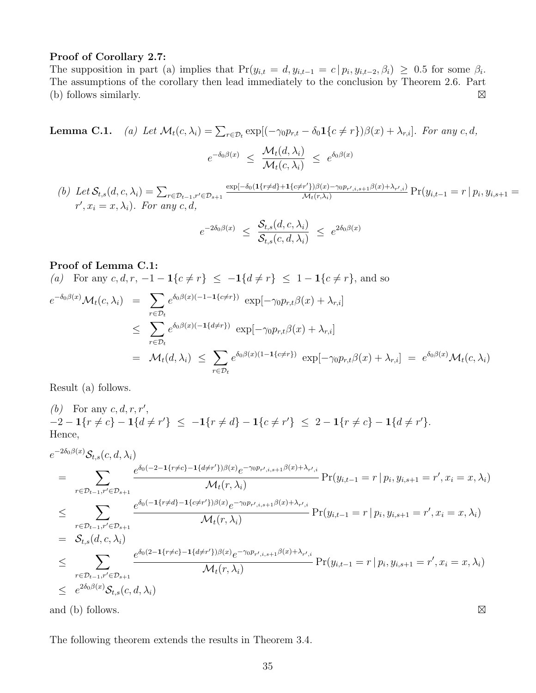#### Proof of Corollary 2.7:

The supposition in part (a) implies that  $Pr(y_{i,t} = d, y_{i,t-1} = c | p_i, y_{i,t-2}, \beta_i) \geq 0.5$  for some  $\beta_i$ . The assumptions of the corollary then lead immediately to the conclusion by Theorem 2.6. Part (b) follows similarly.  $\boxtimes$ 

**Lemma C.1.** (a) Let 
$$
\mathcal{M}_t(c, \lambda_i) = \sum_{r \in \mathcal{D}_t} \exp[(-\gamma_0 p_{r,t} - \delta_0 \mathbf{1}\{c \neq r\})\beta(x) + \lambda_{r,i}].
$$
 For any  $c, d$ ,  

$$
e^{-\delta_0 \beta(x)} \leq \frac{\mathcal{M}_t(d, \lambda_i)}{\mathcal{M}_t(c, \lambda_i)} \leq e^{\delta_0 \beta(x)}
$$

(b) Let  $\mathcal{S}_{t,s}(d,c,\lambda_i) = \sum_{r \in \mathcal{D}_{t-1}, r' \in \mathcal{D}_{s+1}}$  $\exp[-\delta_0(1\{r\neq d\}+1\{c\neq r'\})\beta(x)-\gamma_0 p_{r',i,s+1}\beta(x)+\lambda_{r',i})$ Mt(r,λi) Pr(yi,t−<sup>1</sup> = r | p<sup>i</sup> , yi,s+1 =  $r', x_i = x, \lambda_i$ ). For any c, d,

$$
e^{-2\delta_0\beta(x)} \leq \frac{\mathcal{S}_{t,s}(d,c,\lambda_i)}{\mathcal{S}_{t,s}(c,d,\lambda_i)} \leq e^{2\delta_0\beta(x)}
$$

### Proof of Lemma C.1:

(a) For any 
$$
c, d, r, -1 - \mathbf{1}\{c \neq r\} \leq -\mathbf{1}\{d \neq r\} \leq 1 - \mathbf{1}\{c \neq r\}
$$
, and so  
\n
$$
e^{-\delta_0 \beta(x)} \mathcal{M}_t(c, \lambda_i) = \sum_{r \in \mathcal{D}_t} e^{\delta_0 \beta(x)(-1 - \mathbf{1}\{c \neq r\})} \exp[-\gamma_0 p_{r,t} \beta(x) + \lambda_{r,i}]
$$
\n
$$
\leq \sum_{r \in \mathcal{D}_t} e^{\delta_0 \beta(x)(-1\{d \neq r\})} \exp[-\gamma_0 p_{r,t} \beta(x) + \lambda_{r,i}]
$$
\n
$$
= \mathcal{M}_t(d, \lambda_i) \leq \sum_{r \in \mathcal{D}_t} e^{\delta_0 \beta(x)(1 - \mathbf{1}\{c \neq r\})} \exp[-\gamma_0 p_{r,t} \beta(x) + \lambda_{r,i}] = e^{\delta_0 \beta(x)} \mathcal{M}_t(c, \lambda_i)
$$

Result (a) follows.

(b) For any 
$$
c, d, r, r',
$$
  
\n $-2 - 1\{r \neq c\} - 1\{d \neq r'\} \leq -1\{r \neq d\} - 1\{c \neq r'\} \leq 2 - 1\{r \neq c\} - 1\{d \neq r'\}.$   
\nHence,

$$
e^{-2\delta_{0}\beta(x)}\mathcal{S}_{t,s}(c,d,\lambda_{i})
$$
\n
$$
= \sum_{r \in \mathcal{D}_{t-1}, r' \in \mathcal{D}_{s+1}} \frac{e^{\delta_{0}(-2-1\{r \neq c\}-1\{d \neq r'\})\beta(x)}e^{-\gamma_{0}p_{r',i,s+1}\beta(x)+\lambda_{r',i}}}{\mathcal{M}_{t}(r,\lambda_{i})} \Pr(y_{i,t-1} = r | p_{i}, y_{i,s+1} = r', x_{i} = x, \lambda_{i})
$$
\n
$$
\leq \sum_{r \in \mathcal{D}_{t-1}, r' \in \mathcal{D}_{s+1}} \frac{e^{\delta_{0}(-1\{r \neq d\}-1\{c \neq r'\})\beta(x)}e^{-\gamma_{0}p_{r',i,s+1}\beta(x)+\lambda_{r',i}}}{\mathcal{M}_{t}(r,\lambda_{i})} \Pr(y_{i,t-1} = r | p_{i}, y_{i,s+1} = r', x_{i} = x, \lambda_{i})
$$
\n
$$
= \mathcal{S}_{t,s}(d,c,\lambda_{i})
$$
\n
$$
\leq \sum_{r \in \mathcal{D}_{t-1}, r' \in \mathcal{D}_{s+1}} \frac{e^{\delta_{0}(2-1\{r \neq c\}-1\{d \neq r'\})\beta(x)}e^{-\gamma_{0}p_{r',i,s+1}\beta(x)+\lambda_{r',i}}}{\mathcal{M}_{t}(r,\lambda_{i})} \Pr(y_{i,t-1} = r | p_{i}, y_{i,s+1} = r', x_{i} = x, \lambda_{i})
$$
\n
$$
\leq e^{2\delta_{0}\beta(x)}\mathcal{S}_{t,s}(c,d,\lambda_{i})
$$
\nand (b) follows.

and (b) follows.

The following theorem extends the results in Theorem 3.4.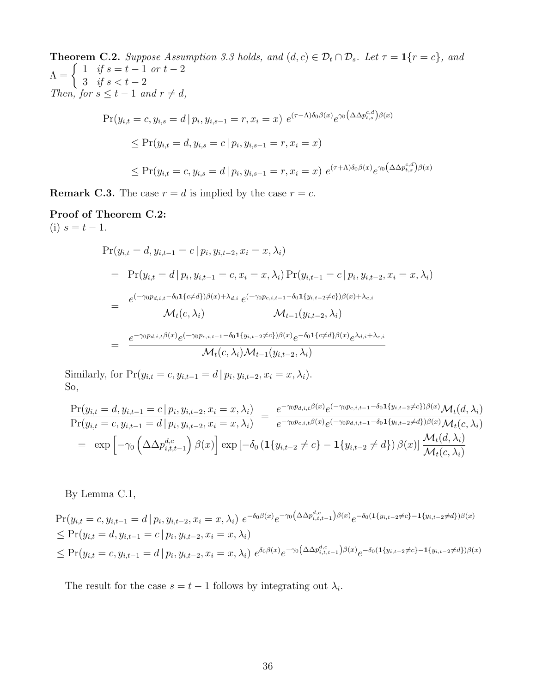**Theorem C.2.** Suppose Assumption 3.3 holds, and  $(d, c) \in \mathcal{D}_t \cap \mathcal{D}_s$ . Let  $\tau = \mathbf{1}\{r = c\}$ , and  $\Lambda = \begin{cases} 1 & \text{if } s = t - 1 \text{ or } t - 2 \\ 2 & \text{if } s \leq t - 2 \end{cases}$ 3 if  $s < t - 2$ Then, for  $s \le t - 1$  and  $r \ne d$ ,  $\Pr(y_{i,t}=c, y_{i,s}=d\,|\, p_i, y_{i,s-1}=r, x_i=x) \,\, e^{(\tau-\Lambda)\delta_0\beta(x)} e^{\gamma_0\left(\Delta\Delta p_{t,s}^{c,d}\right)\beta(x)}$  $\leq Pr(y_{i,t} = d, y_{i,s} = c | p_i, y_{i,s-1} = r, x_i = x)$ 

$$
\leq \Pr(y_{i,t} = c, y_{i,s} = d | p_i, y_{i,s-1} = r, x_i = x) e^{(\tau + \Lambda)\delta_0 \beta(x)} e^{\gamma_0 (\Delta \Delta p_{t,s}^{c,d}) \beta(x)}
$$

**Remark C.3.** The case  $r = d$  is implied by the case  $r = c$ .

Proof of Theorem C.2: (i)  $s = t - 1$ .

$$
\Pr(y_{i,t} = d, y_{i,t-1} = c | p_i, y_{i,t-2}, x_i = x, \lambda_i)
$$
\n
$$
= \Pr(y_{i,t} = d | p_i, y_{i,t-1} = c, x_i = x, \lambda_i) \Pr(y_{i,t-1} = c | p_i, y_{i,t-2}, x_i = x, \lambda_i)
$$
\n
$$
= \frac{e^{(-\gamma_0 p_{d,i,t} - \delta_0 \mathbf{1}\{c \neq d\})\beta(x) + \lambda_{d,i}} \rho^{(-\gamma_0 p_{c,i,t-1} - \delta_0 \mathbf{1}\{y_{i,t-2} \neq c\})\beta(x) + \lambda_{c,i}}}{\mathcal{M}_t(c, \lambda_i)} \frac{\mathcal{M}_{t-1}(y_{i,t-2}, \lambda_i)}{\mathcal{M}_{t-1}(y_{i,t-2}, \lambda_i)}
$$
\n
$$
= \frac{e^{-\gamma_0 p_{d,i,t}\beta(x)} e^{(-\gamma_0 p_{c,i,t-1} - \delta_0 \mathbf{1}\{y_{i,t-2} \neq c\})\beta(x)} e^{-\delta_0 \mathbf{1}\{c \neq d\}\beta(x)} e^{\lambda_{d,i} + \lambda_{c,i}}}{\mathcal{M}_t(c, \lambda_i) \mathcal{M}_{t-1}(y_{i,t-2}, \lambda_i)}
$$

Similarly, for  $Pr(y_{i,t} = c, y_{i,t-1} = d | p_i, y_{i,t-2}, x_i = x, \lambda_i)$ . So,

$$
\frac{\Pr(y_{i,t} = d, y_{i,t-1} = c | p_i, y_{i,t-2}, x_i = x, \lambda_i)}{\Pr(y_{i,t} = c, y_{i,t-1} = d | p_i, y_{i,t-2}, x_i = x, \lambda_i)} = \frac{e^{-\gamma_0 p_{d,i,t} \beta(x)} e^{(-\gamma_0 p_{c,i,t-1} - \delta_0 \mathbf{1} \{y_{i,t-2} \neq c\}) \beta(x)} \mathcal{M}_t(d, \lambda_i)}{e^{-\gamma_0 p_{c,i,t} \beta(x)} e^{(-\gamma_0 p_{d,i,t-1} - \delta_0 \mathbf{1} \{y_{i,t-2} \neq d\}) \beta(x)} \mathcal{M}_t(c, \lambda_i)}
$$
\n
$$
= \exp\left[-\gamma_0 \left(\Delta \Delta p_{i,t,t-1}^{d,c}\right) \beta(x)\right] \exp\left[-\delta_0 \left(\mathbf{1} \{y_{i,t-2} \neq c\} - \mathbf{1} \{y_{i,t-2} \neq d\}\right) \beta(x)\right] \frac{\mathcal{M}_t(d, \lambda_i)}{\mathcal{M}_t(c, \lambda_i)}
$$

By Lemma C.1,

$$
\begin{split} &\Pr(y_{i,t}=c,y_{i,t-1}=d\,|\,p_i,y_{i,t-2},x_i=x,\lambda_i)\;e^{-\delta_0\beta(x)}e^{-\gamma_0\left(\Delta\Delta p_{i,t,t-1}^{d,c}\right)\beta(x)}e^{-\delta_0(1\{y_{i,t-2}\neq c\}-1\{y_{i,t-2}\neq d\})\beta(x)}\\ &\leq\Pr(y_{i,t}=d,y_{i,t-1}=c\,|\,p_i,y_{i,t-2},x_i=x,\lambda_i)\\ &\leq\Pr(y_{i,t}=c,y_{i,t-1}=d\,|\,p_i,y_{i,t-2},x_i=x,\lambda_i)\;e^{\delta_0\beta(x)}e^{-\gamma_0\left(\Delta\Delta p_{i,t,t-1}^{d,c}\right)\beta(x)}e^{-\delta_0(1\{y_{i,t-2}\neq c\}-1\{y_{i,t-2}\neq d\})\beta(x)}\end{split}
$$

The result for the case  $s = t - 1$  follows by integrating out  $\lambda_i$ .